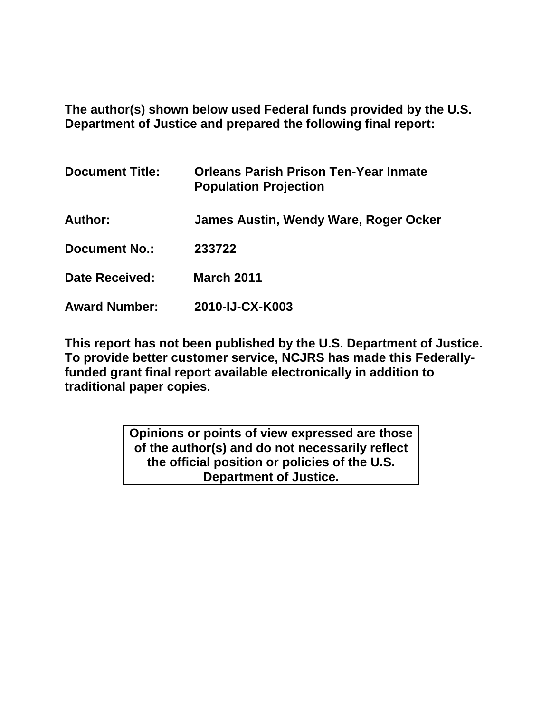**The author(s) shown below used Federal funds provided by the U.S. Department of Justice and prepared the following final report:** 

| <b>Document Title:</b> | <b>Orleans Parish Prison Ten-Year Inmate</b><br><b>Population Projection</b> |
|------------------------|------------------------------------------------------------------------------|
| Author:                | James Austin, Wendy Ware, Roger Ocker                                        |
| <b>Document No.:</b>   | 233722                                                                       |
| Date Received:         | <b>March 2011</b>                                                            |
| <b>Award Number:</b>   | 2010-IJ-CX-K003                                                              |

**This report has not been published by the U.S. Department of Justice. To provide better customer service, NCJRS has made this Federallyfunded grant final report available electronically in addition to traditional paper copies.** 

> **Opinions or points of view expressed are those of the author(s) and do not necessarily reflect the official position or policies of the U.S. Department of Justice.**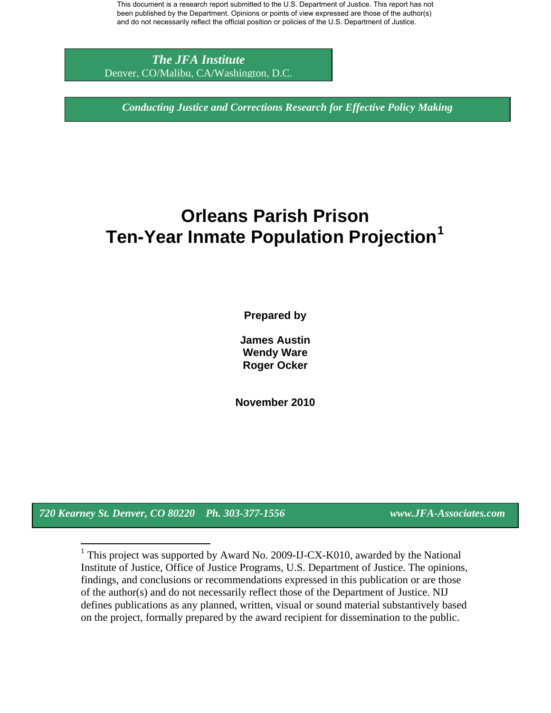*The JFA Institute*  Denver, CO/Malibu, CA/Washington, D.C.

*Conducting Justice and Corrections Research for Effective Policy Making* 

# **Orleans Parish Prison Ten-Year Inmate Population Projection[1](#page-1-0)**

**Prepared by** 

**James Austin Wendy Ware Roger Ocker** 

**November 2010** 

<span id="page-1-0"></span>*720 Kearney St. Denver, CO 80220 Ph. 303-377-1556 www.JFA-Associates.com* 

 $\overline{a}$ 

1 This project was supported by Award No. 2009-IJ-CX-K010, awarded by the National Institute of Justice, Office of Justice Programs, U.S. Department of Justice. The opinions, findings, and conclusions or recommendations expressed in this publication or are those of the author(s) and do not necessarily reflect those of the Department of Justice. NIJ defines publications as any planned, written, visual or sound material substantively based on the project, formally prepared by the award recipient for dissemination to the public.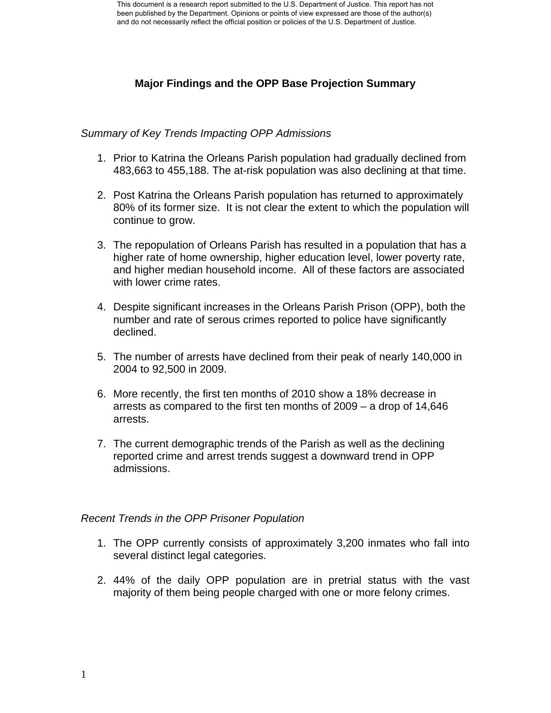## **Major Findings and the OPP Base Projection Summary**

## *Summary of Key Trends Impacting OPP Admissions*

- 1. Prior to Katrina the Orleans Parish population had gradually declined from 483,663 to 455,188. The at-risk population was also declining at that time.
- 2. Post Katrina the Orleans Parish population has returned to approximately 80% of its former size. It is not clear the extent to which the population will continue to grow.
- 3. The repopulation of Orleans Parish has resulted in a population that has a higher rate of home ownership, higher education level, lower poverty rate, and higher median household income. All of these factors are associated with lower crime rates.
- 4. Despite significant increases in the Orleans Parish Prison (OPP), both the number and rate of serous crimes reported to police have significantly declined.
- 5. The number of arrests have declined from their peak of nearly 140,000 in 2004 to 92,500 in 2009.
- 6. More recently, the first ten months of 2010 show a 18% decrease in arrests as compared to the first ten months of 2009 – a drop of 14,646 arrests.
- 7. The current demographic trends of the Parish as well as the declining reported crime and arrest trends suggest a downward trend in OPP admissions.

#### *Recent Trends in the OPP Prisoner Population*

- 1. The OPP currently consists of approximately 3,200 inmates who fall into several distinct legal categories.
- 2. 44% of the daily OPP population are in pretrial status with the vast majority of them being people charged with one or more felony crimes.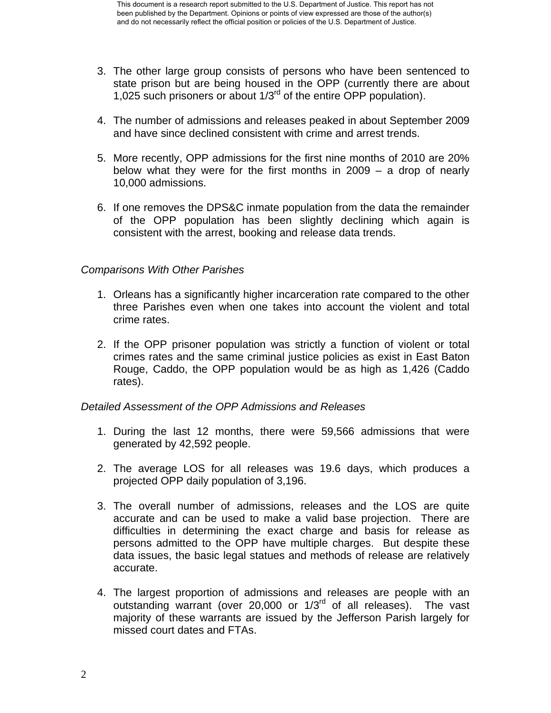- 3. The other large group consists of persons who have been sentenced to state prison but are being housed in the OPP (currently there are about 1,025 such prisoners or about 1/3rd of the entire OPP population).
- 4. The number of admissions and releases peaked in about September 2009 and have since declined consistent with crime and arrest trends.
- 5. More recently, OPP admissions for the first nine months of 2010 are 20% below what they were for the first months in 2009 – a drop of nearly 10,000 admissions.
- 6. If one removes the DPS&C inmate population from the data the remainder of the OPP population has been slightly declining which again is consistent with the arrest, booking and release data trends.

## *Comparisons With Other Parishes*

- 1. Orleans has a significantly higher incarceration rate compared to the other three Parishes even when one takes into account the violent and total crime rates.
- 2. If the OPP prisoner population was strictly a function of violent or total crimes rates and the same criminal justice policies as exist in East Baton Rouge, Caddo, the OPP population would be as high as 1,426 (Caddo rates).

## *Detailed Assessment of the OPP Admissions and Releases*

- 1. During the last 12 months, there were 59,566 admissions that were generated by 42,592 people.
- 2. The average LOS for all releases was 19.6 days, which produces a projected OPP daily population of 3,196.
- 3. The overall number of admissions, releases and the LOS are quite accurate and can be used to make a valid base projection. There are difficulties in determining the exact charge and basis for release as persons admitted to the OPP have multiple charges. But despite these data issues, the basic legal statues and methods of release are relatively accurate.
- 4. The largest proportion of admissions and releases are people with an outstanding warrant (over 20,000 or  $1/3<sup>rd</sup>$  of all releases). The vast majority of these warrants are issued by the Jefferson Parish largely for missed court dates and FTAs.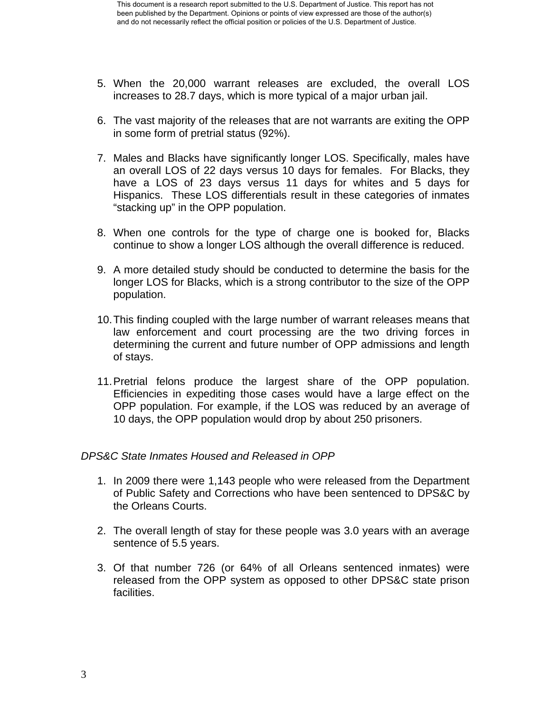- 5. When the 20,000 warrant releases are excluded, the overall LOS increases to 28.7 days, which is more typical of a major urban jail.
- 6. The vast majority of the releases that are not warrants are exiting the OPP in some form of pretrial status (92%).
- 7. Males and Blacks have significantly longer LOS. Specifically, males have an overall LOS of 22 days versus 10 days for females. For Blacks, they have a LOS of 23 days versus 11 days for whites and 5 days for Hispanics. These LOS differentials result in these categories of inmates "stacking up" in the OPP population.
- 8. When one controls for the type of charge one is booked for, Blacks continue to show a longer LOS although the overall difference is reduced.
- 9. A more detailed study should be conducted to determine the basis for the longer LOS for Blacks, which is a strong contributor to the size of the OPP population.
- 10. This finding coupled with the large number of warrant releases means that law enforcement and court processing are the two driving forces in determining the current and future number of OPP admissions and length of stays.
- 11. Pretrial felons produce the largest share of the OPP population. Efficiencies in expediting those cases would have a large effect on the OPP population. For example, if the LOS was reduced by an average of 10 days, the OPP population would drop by about 250 prisoners.

## *DPS&C State Inmates Housed and Released in OPP*

- 1. In 2009 there were 1,143 people who were released from the Department of Public Safety and Corrections who have been sentenced to DPS&C by the Orleans Courts.
- 2. The overall length of stay for these people was 3.0 years with an average sentence of 5.5 years.
- 3. Of that number 726 (or 64% of all Orleans sentenced inmates) were released from the OPP system as opposed to other DPS&C state prison facilities.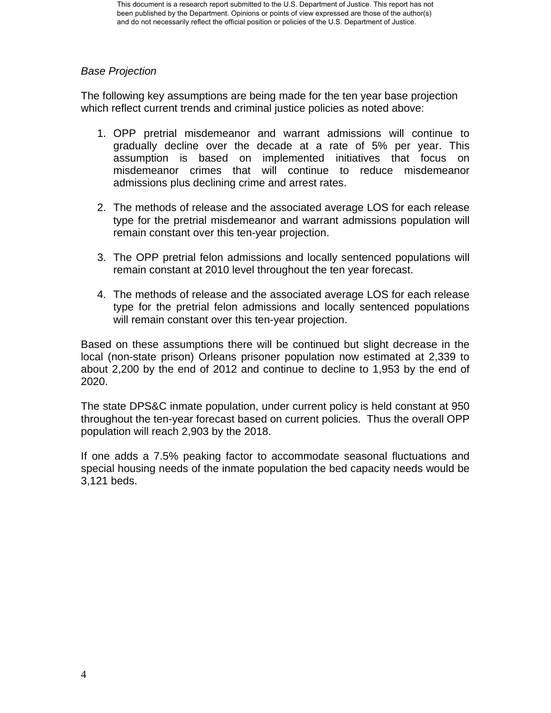## *Base Projection*

The following key assumptions are being made for the ten year base projection which reflect current trends and criminal justice policies as noted above:

- 1. OPP pretrial misdemeanor and warrant admissions will continue to gradually decline over the decade at a rate of 5% per year. This assumption is based on implemented initiatives that focus on misdemeanor crimes that will continue to reduce misdemeanor admissions plus declining crime and arrest rates.
- 2. The methods of release and the associated average LOS for each release type for the pretrial misdemeanor and warrant admissions population will remain constant over this ten-year projection.
- 3. The OPP pretrial felon admissions and locally sentenced populations will remain constant at 2010 level throughout the ten year forecast.
- 4. The methods of release and the associated average LOS for each release type for the pretrial felon admissions and locally sentenced populations will remain constant over this ten-year projection.

Based on these assumptions there will be continued but slight decrease in the local (non-state prison) Orleans prisoner population now estimated at 2,339 to about 2,200 by the end of 2012 and continue to decline to 1,953 by the end of 2020.

The state DPS&C inmate population, under current policy is held constant at 950 throughout the ten-year forecast based on current policies. Thus the overall OPP population will reach 2,903 by the 2018.

If one adds a 7.5% peaking factor to accommodate seasonal fluctuations and special housing needs of the inmate population the bed capacity needs would be 3,121 beds.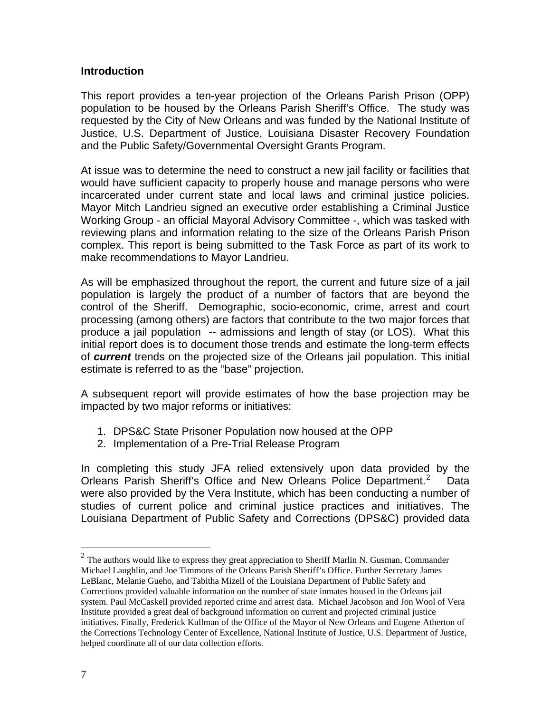#### <span id="page-8-0"></span>**Introduction**

This report provides a ten-year projection of the Orleans Parish Prison (OPP) population to be housed by the Orleans Parish Sheriff's Office. The study was requested by the City of New Orleans and was funded by the National Institute of Justice, U.S. Department of Justice, Louisiana Disaster Recovery Foundation and the Public Safety/Governmental Oversight Grants Program.

At issue was to determine the need to construct a new jail facility or facilities that would have sufficient capacity to properly house and manage persons who were incarcerated under current state and local laws and criminal justice policies. Mayor Mitch Landrieu signed an executive order establishing a Criminal Justice Working Group - an official Mayoral Advisory Committee -, which was tasked with reviewing plans and information relating to the size of the Orleans Parish Prison complex. This report is being submitted to the Task Force as part of its work to make recommendations to Mayor Landrieu.

As will be emphasized throughout the report, the current and future size of a jail population is largely the product of a number of factors that are beyond the control of the Sheriff. Demographic, socio-economic, crime, arrest and court processing (among others) are factors that contribute to the two major forces that produce a jail population -- admissions and length of stay (or LOS). What this initial report does is to document those trends and estimate the long-term effects of *current* trends on the projected size of the Orleans jail population. This initial estimate is referred to as the "base" projection.

A subsequent report will provide estimates of how the base projection may be impacted by two major reforms or initiatives:

- 1. DPS&C State Prisoner Population now housed at the OPP
- 2. Implementation of a Pre-Trial Release Program

In completing this study JFA relied extensively upon data provided by the Orleans Parish Sheriff's Office and New Orleans Police Department.<sup>[2](#page-8-0)</sup> Data were also provided by the Vera Institute, which has been conducting a number of studies of current police and criminal justice practices and initiatives. The Louisiana Department of Public Safety and Corrections (DPS&C) provided data

 $\overline{a}$ 

 $2^2$  The authors would like to express they great appreciation to Sheriff Marlin N. Gusman, Commander Michael Laughlin, and Joe Timmons of the Orleans Parish Sheriff's Office. Further Secretary James LeBlanc, Melanie Gueho, and Tabitha Mizell of the Louisiana Department of Public Safety and Corrections provided valuable information on the number of state inmates housed in the Orleans jail system. Paul McCaskell provided reported crime and arrest data. Michael Jacobson and Jon Wool of Vera Institute provided a great deal of background information on current and projected criminal justice initiatives. Finally, Frederick Kullman of the Office of the Mayor of New Orleans and Eugene Atherton of the Corrections Technology Center of Excellence, National Institute of Justice, U.S. Department of Justice, helped coordinate all of our data collection efforts.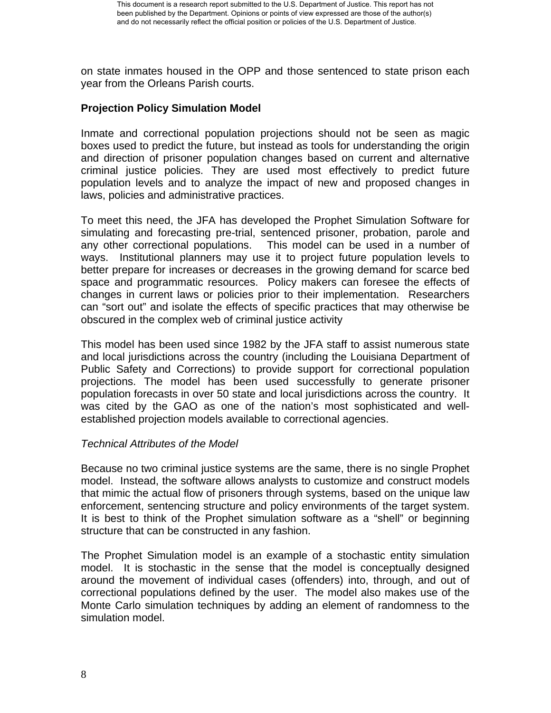on state inmates housed in the OPP and those sentenced to state prison each year from the Orleans Parish courts.

## **Projection Policy Simulation Model**

Inmate and correctional population projections should not be seen as magic boxes used to predict the future, but instead as tools for understanding the origin and direction of prisoner population changes based on current and alternative criminal justice policies. They are used most effectively to predict future population levels and to analyze the impact of new and proposed changes in laws, policies and administrative practices.

To meet this need, the JFA has developed the Prophet Simulation Software for simulating and forecasting pre-trial, sentenced prisoner, probation, parole and any other correctional populations. This model can be used in a number of ways. Institutional planners may use it to project future population levels to better prepare for increases or decreases in the growing demand for scarce bed space and programmatic resources. Policy makers can foresee the effects of changes in current laws or policies prior to their implementation. Researchers can "sort out" and isolate the effects of specific practices that may otherwise be obscured in the complex web of criminal justice activity

This model has been used since 1982 by the JFA staff to assist numerous state and local jurisdictions across the country (including the Louisiana Department of Public Safety and Corrections) to provide support for correctional population projections. The model has been used successfully to generate prisoner population forecasts in over 50 state and local jurisdictions across the country. It was cited by the GAO as one of the nation's most sophisticated and wellestablished projection models available to correctional agencies.

## *Technical Attributes of the Model*

Because no two criminal justice systems are the same, there is no single Prophet model. Instead, the software allows analysts to customize and construct models that mimic the actual flow of prisoners through systems, based on the unique law enforcement, sentencing structure and policy environments of the target system. It is best to think of the Prophet simulation software as a "shell" or beginning structure that can be constructed in any fashion.

The Prophet Simulation model is an example of a stochastic entity simulation model. It is stochastic in the sense that the model is conceptually designed around the movement of individual cases (offenders) into, through, and out of correctional populations defined by the user. The model also makes use of the Monte Carlo simulation techniques by adding an element of randomness to the simulation model.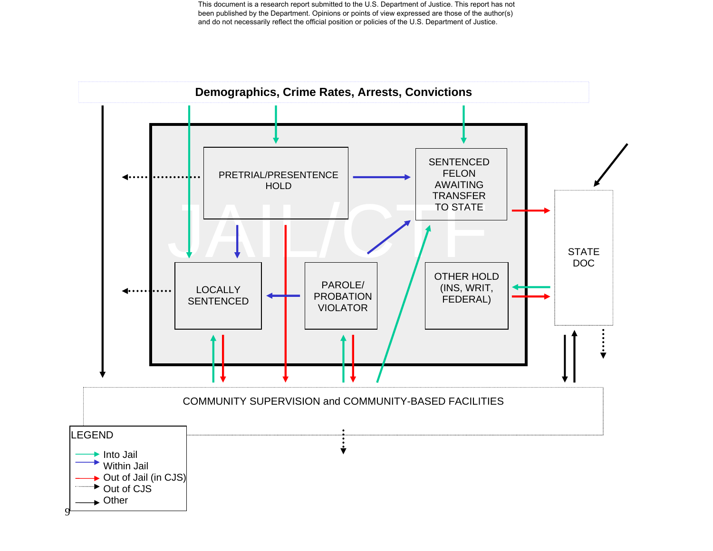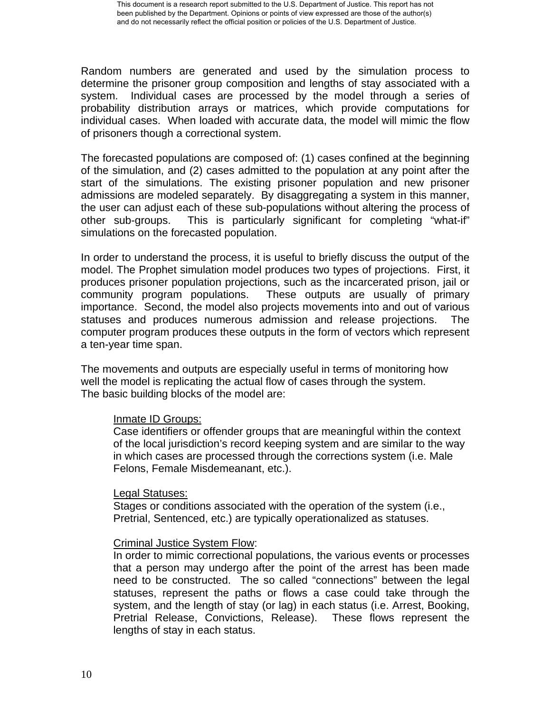Random numbers are generated and used by the simulation process to determine the prisoner group composition and lengths of stay associated with a system. Individual cases are processed by the model through a series of probability distribution arrays or matrices, which provide computations for individual cases. When loaded with accurate data, the model will mimic the flow of prisoners though a correctional system.

The forecasted populations are composed of: (1) cases confined at the beginning of the simulation, and (2) cases admitted to the population at any point after the start of the simulations. The existing prisoner population and new prisoner admissions are modeled separately. By disaggregating a system in this manner, the user can adjust each of these sub-populations without altering the process of other sub-groups. This is particularly significant for completing "what-if" simulations on the forecasted population.

In order to understand the process, it is useful to briefly discuss the output of the model. The Prophet simulation model produces two types of projections. First, it produces prisoner population projections, such as the incarcerated prison, jail or community program populations. These outputs are usually of primary importance. Second, the model also projects movements into and out of various statuses and produces numerous admission and release projections. The computer program produces these outputs in the form of vectors which represent a ten-year time span.

The movements and outputs are especially useful in terms of monitoring how well the model is replicating the actual flow of cases through the system. The basic building blocks of the model are:

#### Inmate ID Groups:

Case identifiers or offender groups that are meaningful within the context of the local jurisdiction's record keeping system and are similar to the way in which cases are processed through the corrections system (i.e. Male Felons, Female Misdemeanant, etc.).

## Legal Statuses:

Stages or conditions associated with the operation of the system (i.e., Pretrial, Sentenced, etc.) are typically operationalized as statuses.

## Criminal Justice System Flow:

In order to mimic correctional populations, the various events or processes that a person may undergo after the point of the arrest has been made need to be constructed. The so called "connections" between the legal statuses, represent the paths or flows a case could take through the system, and the length of stay (or lag) in each status (i.e. Arrest, Booking, Pretrial Release, Convictions, Release). These flows represent the lengths of stay in each status.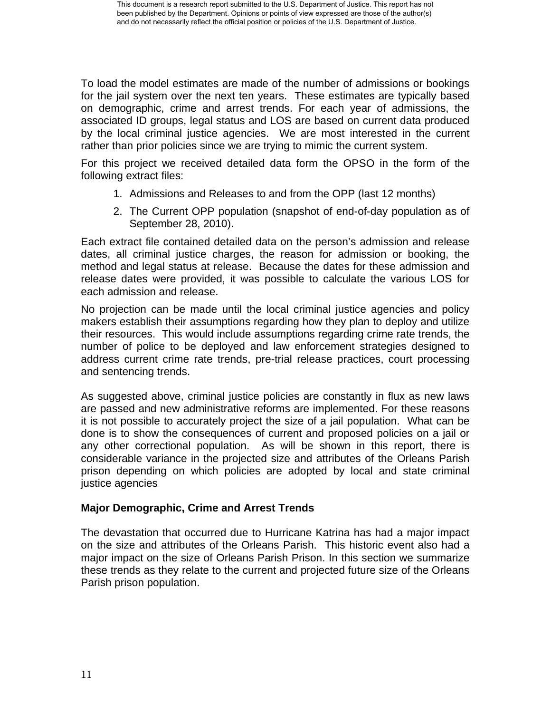To load the model estimates are made of the number of admissions or bookings for the jail system over the next ten years. These estimates are typically based on demographic, crime and arrest trends. For each year of admissions, the associated ID groups, legal status and LOS are based on current data produced by the local criminal justice agencies. We are most interested in the current rather than prior policies since we are trying to mimic the current system.

For this project we received detailed data form the OPSO in the form of the following extract files:

- 1. Admissions and Releases to and from the OPP (last 12 months)
- 2. The Current OPP population (snapshot of end-of-day population as of September 28, 2010).

Each extract file contained detailed data on the person's admission and release dates, all criminal justice charges, the reason for admission or booking, the method and legal status at release. Because the dates for these admission and release dates were provided, it was possible to calculate the various LOS for each admission and release.

No projection can be made until the local criminal justice agencies and policy makers establish their assumptions regarding how they plan to deploy and utilize their resources. This would include assumptions regarding crime rate trends, the number of police to be deployed and law enforcement strategies designed to address current crime rate trends, pre-trial release practices, court processing and sentencing trends.

As suggested above, criminal justice policies are constantly in flux as new laws are passed and new administrative reforms are implemented. For these reasons it is not possible to accurately project the size of a jail population. What can be done is to show the consequences of current and proposed policies on a jail or any other correctional population. As will be shown in this report, there is considerable variance in the projected size and attributes of the Orleans Parish prison depending on which policies are adopted by local and state criminal justice agencies

## **Major Demographic, Crime and Arrest Trends**

The devastation that occurred due to Hurricane Katrina has had a major impact on the size and attributes of the Orleans Parish. This historic event also had a major impact on the size of Orleans Parish Prison. In this section we summarize these trends as they relate to the current and projected future size of the Orleans Parish prison population.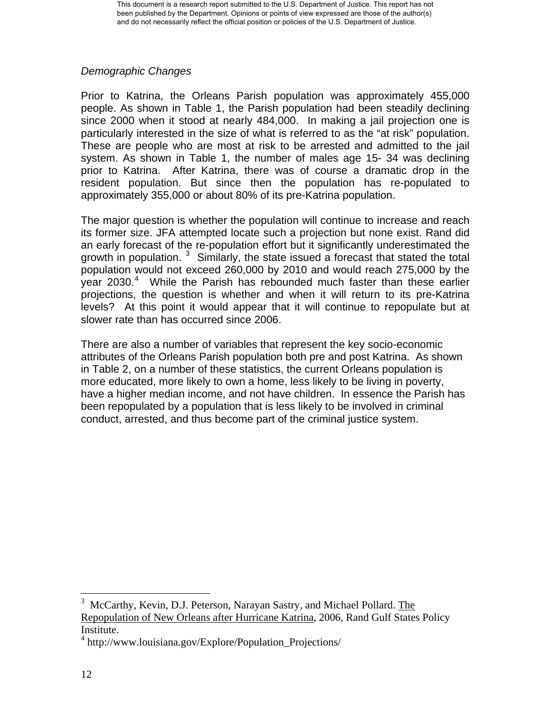## <span id="page-13-0"></span>*Demographic Changes*

Prior to Katrina, the Orleans Parish population was approximately 455,000 people. As shown in Table 1, the Parish population had been steadily declining since 2000 when it stood at nearly 484,000. In making a jail projection one is particularly interested in the size of what is referred to as the "at risk" population. These are people who are most at risk to be arrested and admitted to the jail system. As shown in Table 1, the number of males age 15- 34 was declining prior to Katrina. After Katrina, there was of course a dramatic drop in the resident population. But since then the population has re-populated to approximately 355,000 or about 80% of its pre-Katrina population.

The major question is whether the population will continue to increase and reach its former size. JFA attempted locate such a projection but none exist. Rand did an early forecast of the re-population effort but it significantly underestimated the growth in population.  $3$  Similarly, the state issued a forecast that stated the total population would not exceed 260,000 by 2010 and would reach 275,000 by the year 2030.<sup>[4](#page-13-0)</sup> While the Parish has rebounded much faster than these earlier projections, the question is whether and when it will return to its pre-Katrina levels? At this point it would appear that it will continue to repopulate but at slower rate than has occurred since 2006.

There are also a number of variables that represent the key socio-economic attributes of the Orleans Parish population both pre and post Katrina. As shown in Table 2, on a number of these statistics, the current Orleans population is more educated, more likely to own a home, less likely to be living in poverty, have a higher median income, and not have children. In essence the Parish has been repopulated by a population that is less likely to be involved in criminal conduct, arrested, and thus become part of the criminal justice system.

 $\overline{a}$ 

<sup>&</sup>lt;sup>3</sup> McCarthy, Kevin, D.J. Peterson, Narayan Sastry, and Michael Pollard. The Repopulation of New Orleans after Hurricane Katrina, 2006, Rand Gulf States Policy Institute.

<sup>4</sup> http://www.louisiana.gov/Explore/Population\_Projections/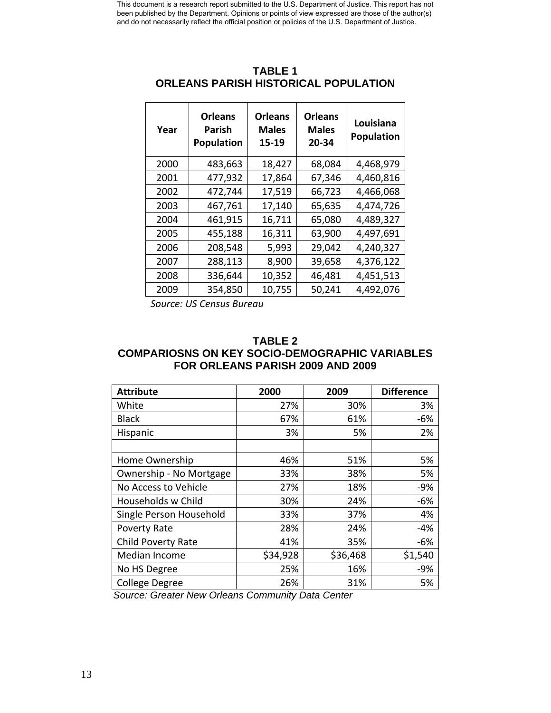| Year | <b>Orleans</b><br>Parish<br>Population | <b>Orleans</b><br><b>Males</b><br>15-19 | <b>Orleans</b><br><b>Males</b><br>20-34 | Louisiana<br>Population |
|------|----------------------------------------|-----------------------------------------|-----------------------------------------|-------------------------|
| 2000 | 483,663                                | 18,427                                  | 68,084                                  | 4,468,979               |
| 2001 | 477,932                                | 17,864                                  | 67,346                                  | 4,460,816               |
| 2002 | 472,744                                | 17,519                                  | 66,723                                  | 4,466,068               |
| 2003 | 467,761                                | 17,140                                  | 65,635                                  | 4,474,726               |
| 2004 | 461,915                                | 16,711                                  | 65,080                                  | 4,489,327               |
| 2005 | 455,188                                | 16,311                                  | 63,900                                  | 4,497,691               |
| 2006 | 208,548                                | 5,993                                   | 29,042                                  | 4,240,327               |
| 2007 | 288,113                                | 8,900                                   | 39,658                                  | 4,376,122               |
| 2008 | 336,644                                | 10,352                                  | 46,481                                  | 4,451,513               |
| 2009 | 354,850                                | 10,755                                  | 50,241                                  | 4,492,076               |

## **TABLE 1 ORLEANS PARISH HISTORICAL POPULATION**

*Source: US Census Bureau*

#### **TABLE 2 COMPARIOSNS ON KEY SOCIO-DEMOGRAPHIC VARIABLES FOR ORLEANS PARISH 2009 AND 2009**

| <b>Attribute</b>          | 2000     | 2009     | <b>Difference</b> |
|---------------------------|----------|----------|-------------------|
| White                     | 27%      | 30%      | 3%                |
| <b>Black</b>              | 67%      | 61%      | $-6%$             |
| Hispanic                  | 3%       | 5%       | 2%                |
|                           |          |          |                   |
| Home Ownership            | 46%      | 51%      | 5%                |
| Ownership - No Mortgage   | 33%      | 38%      | 5%                |
| No Access to Vehicle      | 27%      | 18%      | $-9%$             |
| Households w Child        | 30%      | 24%      | $-6%$             |
| Single Person Household   | 33%      | 37%      | 4%                |
| Poverty Rate              | 28%      | 24%      | -4%               |
| <b>Child Poverty Rate</b> | 41%      | 35%      | $-6%$             |
| Median Income             | \$34,928 | \$36,468 | \$1,540           |
| No HS Degree              | 25%      | 16%      | $-9%$             |
| <b>College Degree</b>     | 26%      | 31%      | 5%                |

*Source: Greater New Orleans Community Data Center*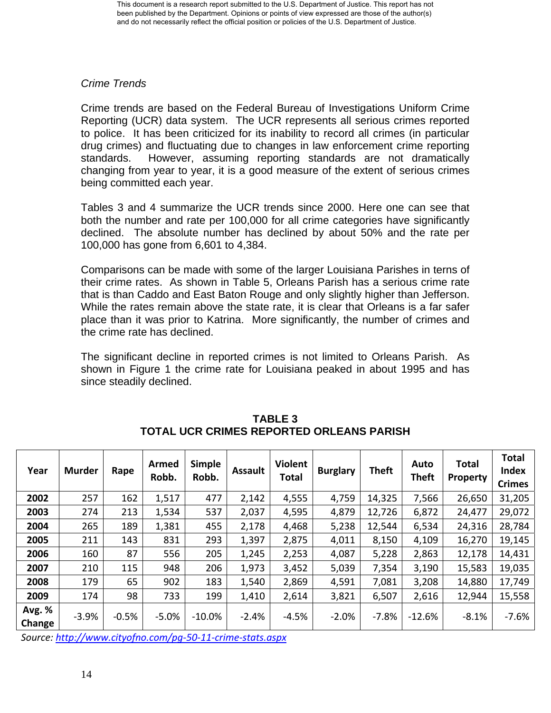## *Crime Trends*

Crime trends are based on the Federal Bureau of Investigations Uniform Crime Reporting (UCR) data system. The UCR represents all serious crimes reported to police. It has been criticized for its inability to record all crimes (in particular drug crimes) and fluctuating due to changes in law enforcement crime reporting standards. However, assuming reporting standards are not dramatically changing from year to year, it is a good measure of the extent of serious crimes being committed each year.

Tables 3 and 4 summarize the UCR trends since 2000. Here one can see that both the number and rate per 100,000 for all crime categories have significantly declined. The absolute number has declined by about 50% and the rate per 100,000 has gone from 6,601 to 4,384.

Comparisons can be made with some of the larger Louisiana Parishes in terns of their crime rates. As shown in Table 5, Orleans Parish has a serious crime rate that is than Caddo and East Baton Rouge and only slightly higher than Jefferson. While the rates remain above the state rate, it is clear that Orleans is a far safer place than it was prior to Katrina. More significantly, the number of crimes and the crime rate has declined.

The significant decline in reported crimes is not limited to Orleans Parish. As shown in Figure 1 the crime rate for Louisiana peaked in about 1995 and has since steadily declined.

| Year             | <b>Murder</b> | Rape    | Armed<br>Robb. | <b>Simple</b><br>Robb. | <b>Assault</b> | <b>Violent</b><br>Total | <b>Burglary</b> | <b>Theft</b> | Auto<br><b>Theft</b> | Total<br><b>Property</b> | <b>Total</b><br><b>Index</b><br><b>Crimes</b> |
|------------------|---------------|---------|----------------|------------------------|----------------|-------------------------|-----------------|--------------|----------------------|--------------------------|-----------------------------------------------|
| 2002             | 257           | 162     | 1,517          | 477                    | 2,142          | 4,555                   | 4,759           | 14,325       | 7,566                | 26,650                   | 31,205                                        |
| 2003             | 274           | 213     | 1,534          | 537                    | 2,037          | 4,595                   | 4,879           | 12,726       | 6,872                | 24,477                   | 29,072                                        |
| 2004             | 265           | 189     | 1,381          | 455                    | 2,178          | 4,468                   | 5,238           | 12,544       | 6,534                | 24,316                   | 28,784                                        |
| 2005             | 211           | 143     | 831            | 293                    | 1,397          | 2,875                   | 4,011           | 8,150        | 4,109                | 16,270                   | 19,145                                        |
| 2006             | 160           | 87      | 556            | 205                    | 1,245          | 2,253                   | 4,087           | 5,228        | 2,863                | 12,178                   | 14,431                                        |
| 2007             | 210           | 115     | 948            | 206                    | 1,973          | 3,452                   | 5,039           | 7,354        | 3,190                | 15,583                   | 19,035                                        |
| 2008             | 179           | 65      | 902            | 183                    | 1,540          | 2,869                   | 4,591           | 7,081        | 3,208                | 14,880                   | 17,749                                        |
| 2009             | 174           | 98      | 733            | 199                    | 1,410          | 2,614                   | 3,821           | 6,507        | 2,616                | 12,944                   | 15,558                                        |
| Avg. %<br>Change | $-3.9%$       | $-0.5%$ | $-5.0%$        | $-10.0%$               | $-2.4%$        | $-4.5%$                 | $-2.0%$         | $-7.8%$      | $-12.6%$             | $-8.1%$                  | $-7.6%$                                       |

**TABLE 3 TOTAL UCR CRIMES REPORTED ORLEANS PARISH** 

*Source: [http://www.cityofno.com/pg](http://www.cityofno.com/pg-50-11-crime-stats.aspx)‐50‐11‐crime‐stats.aspx*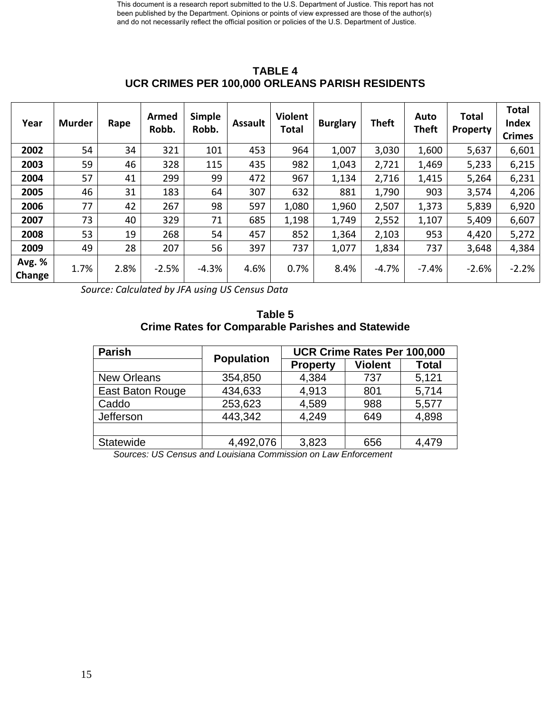| Year             | <b>Murder</b> | Rape | <b>Armed</b><br>Robb. | <b>Simple</b><br>Robb. | <b>Assault</b> | <b>Violent</b><br><b>Total</b> | <b>Burglary</b> | <b>Theft</b> | Auto<br><b>Theft</b> | <b>Total</b><br>Property | <b>Total</b><br><b>Index</b><br><b>Crimes</b> |
|------------------|---------------|------|-----------------------|------------------------|----------------|--------------------------------|-----------------|--------------|----------------------|--------------------------|-----------------------------------------------|
| 2002             | 54            | 34   | 321                   | 101                    | 453            | 964                            | 1,007           | 3,030        | 1,600                | 5,637                    | 6,601                                         |
| 2003             | 59            | 46   | 328                   | 115                    | 435            | 982                            | 1,043           | 2,721        | 1,469                | 5,233                    | 6,215                                         |
| 2004             | 57            | 41   | 299                   | 99                     | 472            | 967                            | 1,134           | 2,716        | 1,415                | 5,264                    | 6,231                                         |
| 2005             | 46            | 31   | 183                   | 64                     | 307            | 632                            | 881             | 1,790        | 903                  | 3,574                    | 4,206                                         |
| 2006             | 77            | 42   | 267                   | 98                     | 597            | 1,080                          | 1,960           | 2,507        | 1,373                | 5,839                    | 6,920                                         |
| 2007             | 73            | 40   | 329                   | 71                     | 685            | 1,198                          | 1,749           | 2,552        | 1,107                | 5,409                    | 6,607                                         |
| 2008             | 53            | 19   | 268                   | 54                     | 457            | 852                            | 1,364           | 2,103        | 953                  | 4,420                    | 5,272                                         |
| 2009             | 49            | 28   | 207                   | 56                     | 397            | 737                            | 1,077           | 1,834        | 737                  | 3,648                    | 4,384                                         |
| Avg. %<br>Change | 1.7%          | 2.8% | $-2.5%$               | $-4.3%$                | 4.6%           | 0.7%                           | 8.4%            | $-4.7%$      | $-7.4%$              | $-2.6%$                  | $-2.2%$                                       |

**TABLE 4 UCR CRIMES PER 100,000 ORLEANS PARISH RESIDENTS** 

*Source: Calculated by JFA using US Census Data*

**Table 5 Crime Rates for Comparable Parishes and Statewide** 

| <b>Parish</b>      | <b>Population</b> | UCR Crime Rates Per 100,000 |                |              |  |  |
|--------------------|-------------------|-----------------------------|----------------|--------------|--|--|
|                    |                   | <b>Property</b>             | <b>Violent</b> | <b>Total</b> |  |  |
| <b>New Orleans</b> | 354,850           | 4,384                       | 737            | 5,121        |  |  |
| East Baton Rouge   | 434,633           | 4,913                       | 801            | 5,714        |  |  |
| Caddo              | 253,623           | 4,589                       | 988            | 5,577        |  |  |
| Jefferson          | 443,342           | 4,249                       | 649            | 4,898        |  |  |
|                    |                   |                             |                |              |  |  |
| Statewide          | 4,492,076         | 3,823                       | 656            | 4,479        |  |  |

*Sources: US Census and Louisiana Commission on Law Enforcement*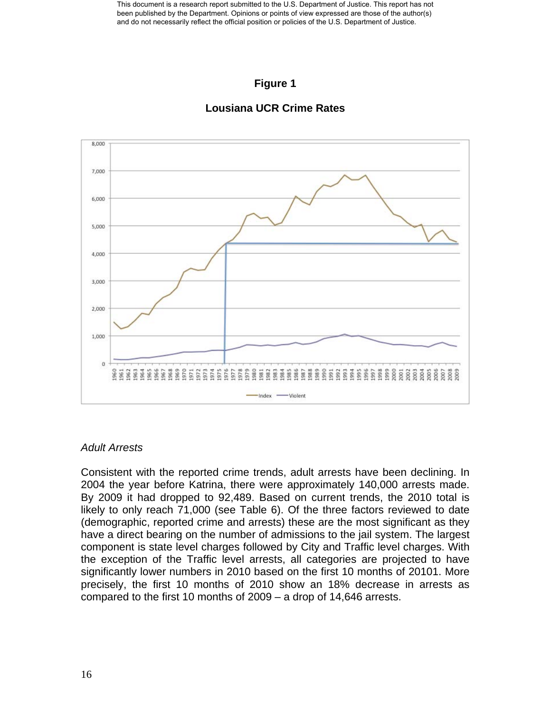## **Figure 1**



#### **Lousiana UCR Crime Rates**

## *Adult Arrests*

Consistent with the reported crime trends, adult arrests have been declining. In 2004 the year before Katrina, there were approximately 140,000 arrests made. By 2009 it had dropped to 92,489. Based on current trends, the 2010 total is likely to only reach 71,000 (see Table 6). Of the three factors reviewed to date (demographic, reported crime and arrests) these are the most significant as they have a direct bearing on the number of admissions to the jail system. The largest component is state level charges followed by City and Traffic level charges. With the exception of the Traffic level arrests, all categories are projected to have significantly lower numbers in 2010 based on the first 10 months of 20101. More precisely, the first 10 months of 2010 show an 18% decrease in arrests as compared to the first 10 months of 2009 – a drop of 14,646 arrests.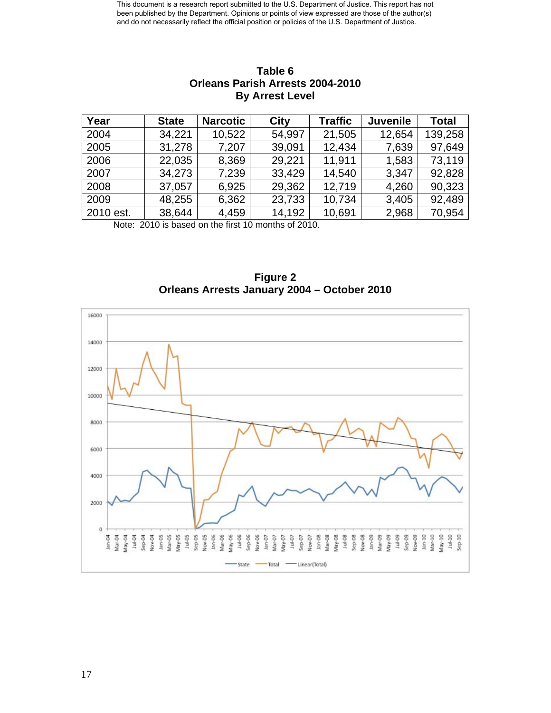| Year      | <b>State</b> | <b>Narcotic</b> | City   | <b>Traffic</b> | <b>Juvenile</b> | <b>Total</b> |
|-----------|--------------|-----------------|--------|----------------|-----------------|--------------|
| 2004      | 34,221       | 10,522          | 54,997 | 21,505         | 12,654          | 139,258      |
| 2005      | 31,278       | 7,207           | 39,091 | 12,434         | 7,639           | 97,649       |
| 2006      | 22,035       | 8,369           | 29,221 | 11,911         | 1,583           | 73,119       |
| 2007      | 34,273       | 7,239           | 33,429 | 14,540         | 3,347           | 92,828       |
| 2008      | 37,057       | 6,925           | 29,362 | 12,719         | 4,260           | 90,323       |
| 2009      | 48,255       | 6,362           | 23,733 | 10,734         | 3,405           | 92,489       |
| 2010 est. | 38,644       | 4,459           | 14,192 | 10,691         | 2,968           | 70,954       |

## **Table 6 Orleans Parish Arrests 2004-2010 By Arrest Level**

Note: 2010 is based on the first 10 months of 2010.

**Figure 2 Orleans Arrests January 2004 – October 2010** 

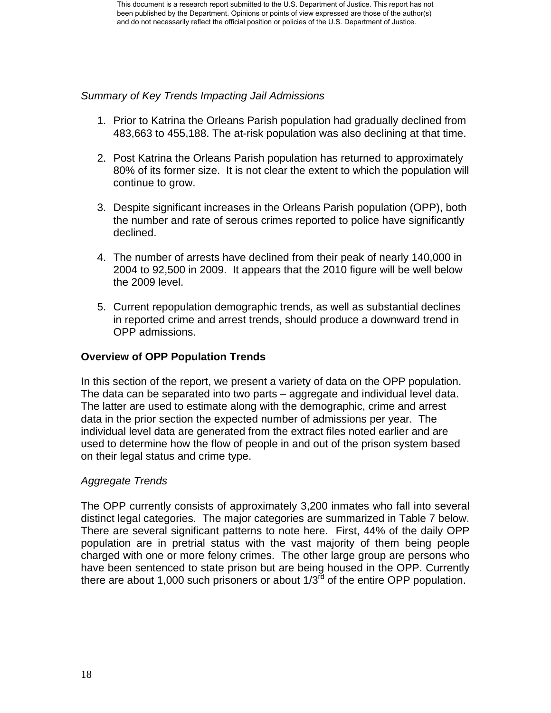## *Summary of Key Trends Impacting Jail Admissions*

- 1. Prior to Katrina the Orleans Parish population had gradually declined from 483,663 to 455,188. The at-risk population was also declining at that time.
- 2. Post Katrina the Orleans Parish population has returned to approximately 80% of its former size. It is not clear the extent to which the population will continue to grow.
- 3. Despite significant increases in the Orleans Parish population (OPP), both the number and rate of serous crimes reported to police have significantly declined.
- 4. The number of arrests have declined from their peak of nearly 140,000 in 2004 to 92,500 in 2009. It appears that the 2010 figure will be well below the 2009 level.
- 5. Current repopulation demographic trends, as well as substantial declines in reported crime and arrest trends, should produce a downward trend in OPP admissions.

## **Overview of OPP Population Trends**

In this section of the report, we present a variety of data on the OPP population. The data can be separated into two parts – aggregate and individual level data. The latter are used to estimate along with the demographic, crime and arrest data in the prior section the expected number of admissions per year. The individual level data are generated from the extract files noted earlier and are used to determine how the flow of people in and out of the prison system based on their legal status and crime type.

#### *Aggregate Trends*

The OPP currently consists of approximately 3,200 inmates who fall into several distinct legal categories. The major categories are summarized in Table 7 below. There are several significant patterns to note here. First, 44% of the daily OPP population are in pretrial status with the vast majority of them being people charged with one or more felony crimes. The other large group are persons who have been sentenced to state prison but are being housed in the OPP. Currently there are about 1,000 such prisoners or about  $1/3<sup>rd</sup>$  of the entire OPP population.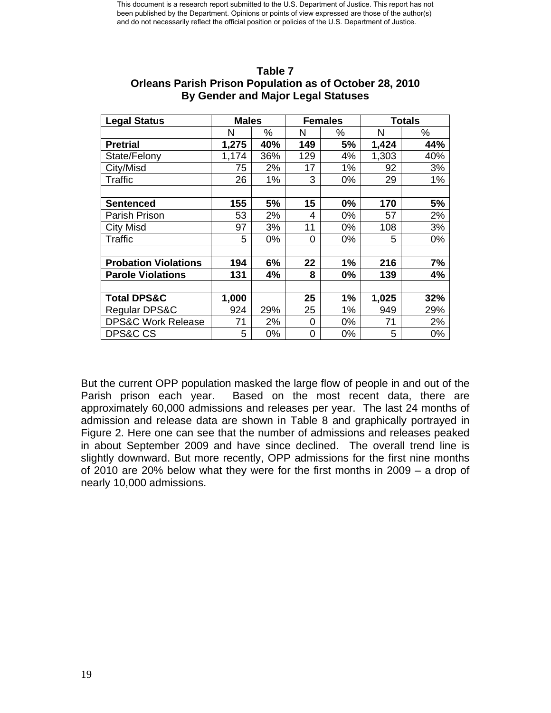| <b>Legal Status</b>           | <b>Males</b> |     |     | <b>Females</b> | <b>Totals</b> |     |
|-------------------------------|--------------|-----|-----|----------------|---------------|-----|
|                               | N            | %   | N   | ℅              | N             | %   |
| <b>Pretrial</b>               | 1,275        | 40% | 149 | 5%             | 1,424         | 44% |
| State/Felony                  | 1,174        | 36% | 129 | 4%             | 1,303         | 40% |
| City/Misd                     | 75           | 2%  | 17  | 1%             | 92            | 3%  |
| <b>Traffic</b>                | 26           | 1%  | 3   | 0%             | 29            | 1%  |
|                               |              |     |     |                |               |     |
| <b>Sentenced</b>              | 155          | 5%  | 15  | 0%             | 170           | 5%  |
| Parish Prison                 | 53           | 2%  | 4   | 0%             | 57            | 2%  |
| <b>City Misd</b>              | 97           | 3%  | 11  | 0%             | 108           | 3%  |
| <b>Traffic</b>                | 5            | 0%  | 0   | 0%             | 5             | 0%  |
|                               |              |     |     |                |               |     |
| <b>Probation Violations</b>   | 194          | 6%  | 22  | 1%             | 216           | 7%  |
| <b>Parole Violations</b>      | 131          | 4%  | 8   | 0%             | 139           | 4%  |
|                               |              |     |     |                |               |     |
| <b>Total DPS&amp;C</b>        | 1,000        |     | 25  | 1%             | 1,025         | 32% |
| Regular DPS&C                 | 924          | 29% | 25  | 1%             | 949           | 29% |
| <b>DPS&amp;C Work Release</b> | 71           | 2%  | 0   | 0%             | 71            | 2%  |
| <b>DPS&amp;C CS</b>           | 5            | 0%  | 0   | 0%             | 5             | 0%  |

#### **Table 7 Orleans Parish Prison Population as of October 28, 2010 By Gender and Major Legal Statuses**

But the current OPP population masked the large flow of people in and out of the Parish prison each year. Based on the most recent data, there are approximately 60,000 admissions and releases per year. The last 24 months of admission and release data are shown in Table 8 and graphically portrayed in Figure 2. Here one can see that the number of admissions and releases peaked in about September 2009 and have since declined. The overall trend line is slightly downward. But more recently, OPP admissions for the first nine months of 2010 are 20% below what they were for the first months in 2009 – a drop of nearly 10,000 admissions.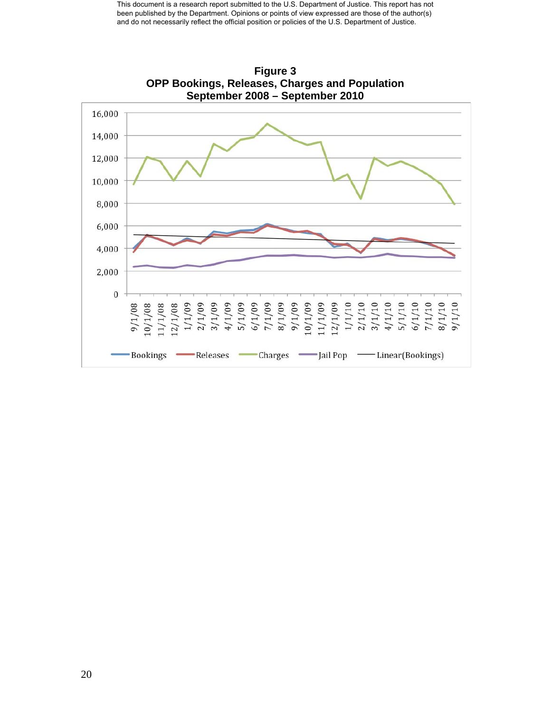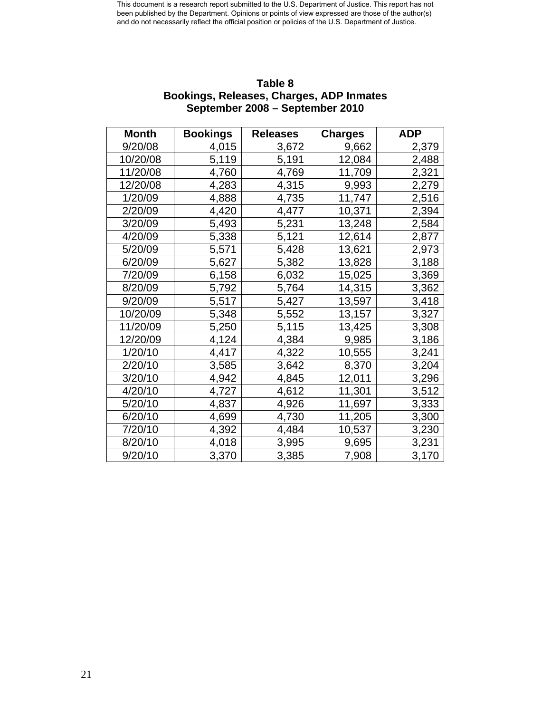| <b>Month</b> | <b>Bookings</b> | <b>Releases</b> | <b>Charges</b> | <b>ADP</b> |
|--------------|-----------------|-----------------|----------------|------------|
| 9/20/08      | 4,015           | 3,672           | 9,662          | 2,379      |
| 10/20/08     | 5,119           | 5,191           | 12,084         | 2,488      |
| 11/20/08     | 4,760           | 4,769           | 11,709         | 2,321      |
| 12/20/08     | 4,283           | 4,315           | 9,993          | 2,279      |
| 1/20/09      | 4,888           | 4,735           | 11,747         | 2,516      |
| 2/20/09      | 4,420           | 4,477           | 10,371         | 2,394      |
| 3/20/09      | 5,493           | 5,231           | 13,248         | 2,584      |
| 4/20/09      | 5,338           | 5,121           | 12,614         | 2,877      |
| 5/20/09      | 5,571           | 5,428           | 13,621         | 2,973      |
| 6/20/09      | 5,627           | 5,382           | 13,828         | 3,188      |
| 7/20/09      | 6,158           | 6,032           | 15,025         | 3,369      |
| 8/20/09      | 5,792           | 5,764           | 14,315         | 3,362      |
| 9/20/09      | 5,517           | 5,427           | 13,597         | 3,418      |
| 10/20/09     | 5,348           | 5,552           | 13,157         | 3,327      |
| 11/20/09     | 5,250           | 5,115           | 13,425         | 3,308      |
| 12/20/09     | 4,124           | 4,384           | 9,985          | 3,186      |
| 1/20/10      | 4,417           | 4,322           | 10,555         | 3,241      |
| 2/20/10      | 3,585           | 3,642           | 8,370          | 3,204      |
| 3/20/10      | 4,942           | 4,845           | 12,011         | 3,296      |
| 4/20/10      | 4,727           | 4,612           | 11,301         | 3,512      |
| 5/20/10      | 4,837           | 4,926           | 11,697         | 3,333      |
| 6/20/10      | 4,699           | 4,730           | 11,205         | 3,300      |
| 7/20/10      | 4,392           | 4,484           | 10,537         | 3,230      |
| 8/20/10      | 4,018           | 3,995           | 9,695          | 3,231      |
| 9/20/10      | 3,370           | 3,385           | 7,908          | 3,170      |

## **Table 8 Bookings, Releases, Charges, ADP Inmates September 2008 – September 2010**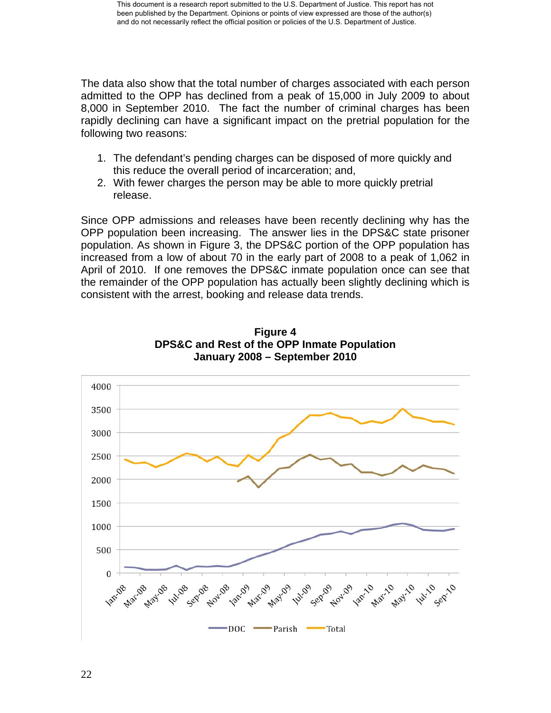The data also show that the total number of charges associated with each person admitted to the OPP has declined from a peak of 15,000 in July 2009 to about 8,000 in September 2010. The fact the number of criminal charges has been rapidly declining can have a significant impact on the pretrial population for the following two reasons:

- 1. The defendant's pending charges can be disposed of more quickly and this reduce the overall period of incarceration; and,
- 2. With fewer charges the person may be able to more quickly pretrial release.

Since OPP admissions and releases have been recently declining why has the OPP population been increasing. The answer lies in the DPS&C state prisoner population. As shown in Figure 3, the DPS&C portion of the OPP population has increased from a low of about 70 in the early part of 2008 to a peak of 1,062 in April of 2010. If one removes the DPS&C inmate population once can see that the remainder of the OPP population has actually been slightly declining which is consistent with the arrest, booking and release data trends.



**Figure 4 DPS&C and Rest of the OPP Inmate Population January 2008 – September 2010**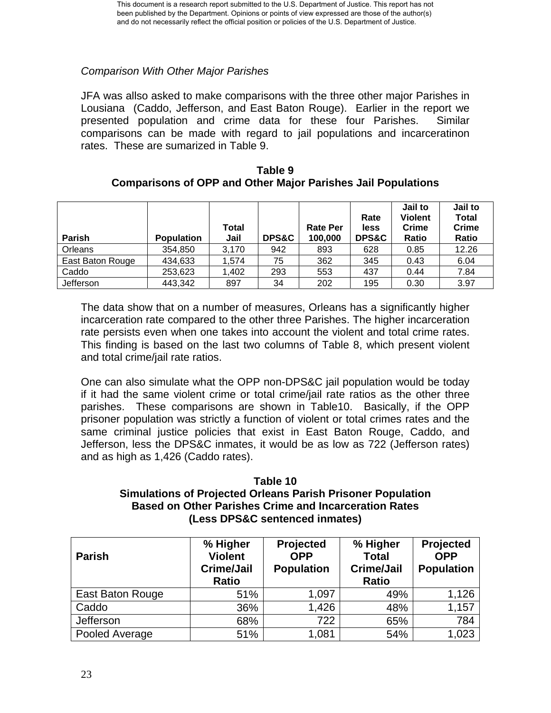## *Comparison With Other Major Parishes*

JFA was allso asked to make comparisons with the three other major Parishes in Lousiana (Caddo, Jefferson, and East Baton Rouge). Earlier in the report we presented population and crime data for these four Parishes. Similar comparisons can be made with regard to jail populations and incarceratinon rates. These are sumarized in Table 9.

| Table 9                                                             |
|---------------------------------------------------------------------|
| <b>Comparisons of OPP and Other Major Parishes Jail Populations</b> |

| Parish           | <b>Population</b> | <b>Total</b><br>Jail | <b>DPS&amp;C</b> | <b>Rate Per</b><br>100,000 | Rate<br>less<br><b>DPS&amp;C</b> | Jail to<br><b>Violent</b><br>Crime<br>Ratio | Jail to<br><b>Total</b><br>Crime<br>Ratio |
|------------------|-------------------|----------------------|------------------|----------------------------|----------------------------------|---------------------------------------------|-------------------------------------------|
| Orleans          | 354,850           | 3.170                | 942              | 893                        | 628                              | 0.85                                        | 12.26                                     |
| East Baton Rouge | 434,633           | 1,574                | 75               | 362                        | 345                              | 0.43                                        | 6.04                                      |
| Caddo            | 253,623           | 1,402                | 293              | 553                        | 437                              | 0.44                                        | 7.84                                      |
| Jefferson        | 443,342           | 897                  | 34               | 202                        | 195                              | 0.30                                        | 3.97                                      |

The data show that on a number of measures, Orleans has a significantly higher incarceration rate compared to the other three Parishes. The higher incarceration rate persists even when one takes into account the violent and total crime rates. This finding is based on the last two columns of Table 8, which present violent and total crime/jail rate ratios.

One can also simulate what the OPP non-DPS&C jail population would be today if it had the same violent crime or total crime/jail rate ratios as the other three parishes. These comparisons are shown in Table10. Basically, if the OPP prisoner population was strictly a function of violent or total crimes rates and the same criminal justice policies that exist in East Baton Rouge, Caddo, and Jefferson, less the DPS&C inmates, it would be as low as 722 (Jefferson rates) and as high as 1,426 (Caddo rates).

## **Table 10 Simulations of Projected Orleans Parish Prisoner Population Based on Other Parishes Crime and Incarceration Rates (Less DPS&C sentenced inmates)**

| <b>Parish</b>    | % Higher<br><b>Violent</b><br><b>Crime/Jail</b><br><b>Ratio</b> | Projected<br><b>OPP</b><br><b>Population</b> | % Higher<br><b>Total</b><br><b>Crime/Jail</b><br><b>Ratio</b> | Projected<br><b>OPP</b><br><b>Population</b> |
|------------------|-----------------------------------------------------------------|----------------------------------------------|---------------------------------------------------------------|----------------------------------------------|
| East Baton Rouge | 51%                                                             | 1,097                                        | 49%                                                           | 1,126                                        |
| Caddo            | 36%                                                             | 1,426                                        | 48%                                                           | 1,157                                        |
| Jefferson        | 68%                                                             | 722                                          | 65%                                                           | 784                                          |
| Pooled Average   | 51%                                                             | 1,081                                        | 54%                                                           | 1,023                                        |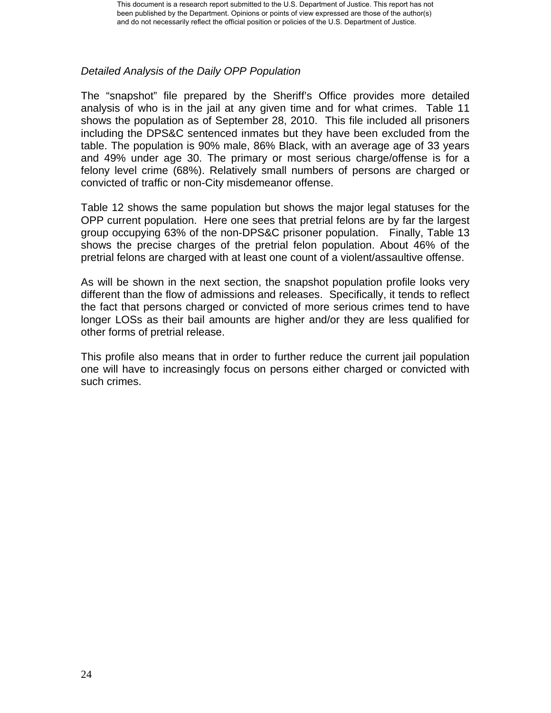## *Detailed Analysis of the Daily OPP Population*

The "snapshot" file prepared by the Sheriff's Office provides more detailed analysis of who is in the jail at any given time and for what crimes. Table 11 shows the population as of September 28, 2010. This file included all prisoners including the DPS&C sentenced inmates but they have been excluded from the table. The population is 90% male, 86% Black, with an average age of 33 years and 49% under age 30. The primary or most serious charge/offense is for a felony level crime (68%). Relatively small numbers of persons are charged or convicted of traffic or non-City misdemeanor offense.

Table 12 shows the same population but shows the major legal statuses for the OPP current population. Here one sees that pretrial felons are by far the largest group occupying 63% of the non-DPS&C prisoner population. Finally, Table 13 shows the precise charges of the pretrial felon population. About 46% of the pretrial felons are charged with at least one count of a violent/assaultive offense.

As will be shown in the next section, the snapshot population profile looks very different than the flow of admissions and releases. Specifically, it tends to reflect the fact that persons charged or convicted of more serious crimes tend to have longer LOSs as their bail amounts are higher and/or they are less qualified for other forms of pretrial release.

This profile also means that in order to further reduce the current jail population one will have to increasingly focus on persons either charged or convicted with such crimes.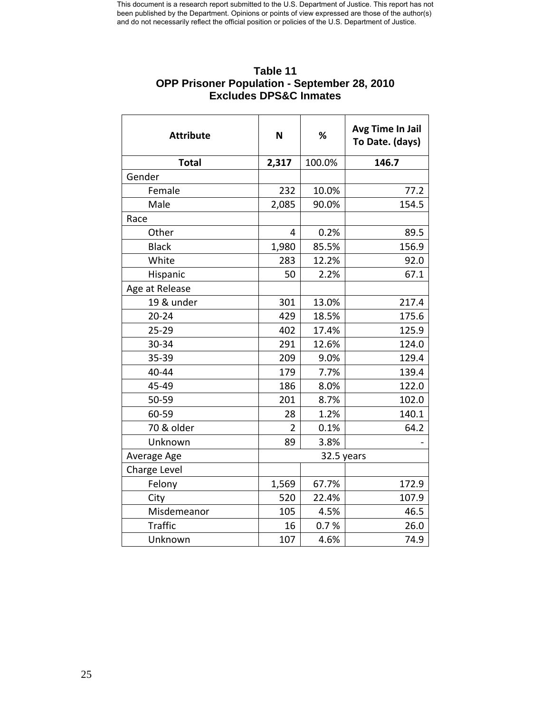| EXCIUDES DE JOU INITIALES |       |            |                                     |  |  |  |  |
|---------------------------|-------|------------|-------------------------------------|--|--|--|--|
| <b>Attribute</b>          | N     | %          | Avg Time In Jail<br>To Date. (days) |  |  |  |  |
| <b>Total</b>              | 2,317 | 100.0%     | 146.7                               |  |  |  |  |
| Gender                    |       |            |                                     |  |  |  |  |
| Female                    | 232   | 10.0%      | 77.2                                |  |  |  |  |
| Male                      | 2,085 | 90.0%      | 154.5                               |  |  |  |  |
| Race                      |       |            |                                     |  |  |  |  |
| Other                     | 4     | 0.2%       | 89.5                                |  |  |  |  |
| <b>Black</b>              | 1,980 | 85.5%      | 156.9                               |  |  |  |  |
| White                     | 283   | 12.2%      | 92.0                                |  |  |  |  |
| Hispanic                  | 50    | 2.2%       | 67.1                                |  |  |  |  |
| Age at Release            |       |            |                                     |  |  |  |  |
| 19 & under                | 301   | 13.0%      | 217.4                               |  |  |  |  |
| $20 - 24$                 | 429   | 18.5%      | 175.6                               |  |  |  |  |
| $25 - 29$                 | 402   | 17.4%      | 125.9                               |  |  |  |  |
| 30-34                     | 291   | 12.6%      | 124.0                               |  |  |  |  |
| 35-39                     | 209   | 9.0%       | 129.4                               |  |  |  |  |
| 40-44                     | 179   | 7.7%       | 139.4                               |  |  |  |  |
| 45-49                     | 186   | 8.0%       | 122.0                               |  |  |  |  |
| 50-59                     | 201   | 8.7%       | 102.0                               |  |  |  |  |
| 60-59                     | 28    | 1.2%       | 140.1                               |  |  |  |  |
| 70 & older                | 2     | 0.1%       | 64.2                                |  |  |  |  |
| Unknown                   | 89    | 3.8%       |                                     |  |  |  |  |
| Average Age               |       | 32.5 years |                                     |  |  |  |  |
| Charge Level              |       |            |                                     |  |  |  |  |
| Felony                    | 1,569 | 67.7%      | 172.9                               |  |  |  |  |
| City                      | 520   | 22.4%      | 107.9                               |  |  |  |  |
| Misdemeanor               | 105   | 4.5%       | 46.5                                |  |  |  |  |
| <b>Traffic</b>            | 16    | 0.7%       | 26.0                                |  |  |  |  |
| Unknown                   | 107   | 4.6%       | 74.9                                |  |  |  |  |

## **Table 11 OPP Prisoner Population - September 28, 2010 Excludes DPS&C Inmates**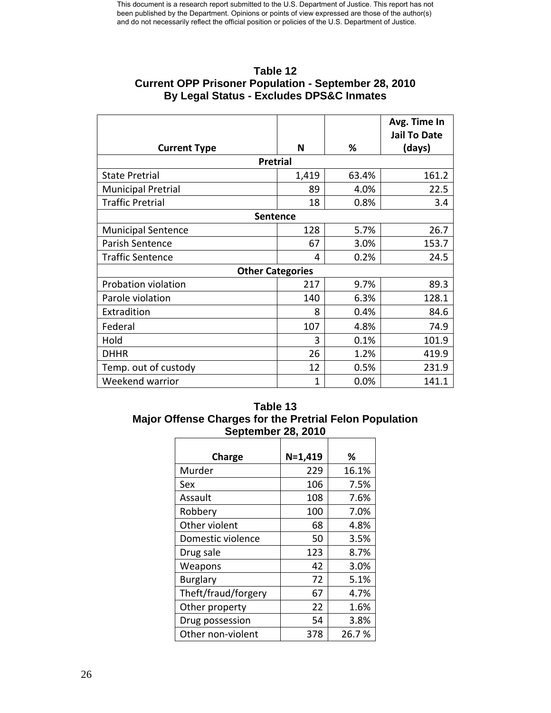| Table 12                                                    |
|-------------------------------------------------------------|
| <b>Current OPP Prisoner Population - September 28, 2010</b> |
| <b>By Legal Status - Excludes DPS&amp;C Inmates</b>         |

|                           |              |       | Avg. Time In<br><b>Jail To Date</b> |  |  |  |  |
|---------------------------|--------------|-------|-------------------------------------|--|--|--|--|
| <b>Current Type</b>       | N            | ℅     | (days)                              |  |  |  |  |
| <b>Pretrial</b>           |              |       |                                     |  |  |  |  |
| <b>State Pretrial</b>     | 1,419        | 63.4% | 161.2                               |  |  |  |  |
| <b>Municipal Pretrial</b> | 89           | 4.0%  | 22.5                                |  |  |  |  |
| <b>Traffic Pretrial</b>   | 18           | 0.8%  | 3.4                                 |  |  |  |  |
| <b>Sentence</b>           |              |       |                                     |  |  |  |  |
| <b>Municipal Sentence</b> | 128          | 5.7%  | 26.7                                |  |  |  |  |
| Parish Sentence           | 67           | 3.0%  | 153.7                               |  |  |  |  |
| <b>Traffic Sentence</b>   | 4            | 0.2%  | 24.5                                |  |  |  |  |
| <b>Other Categories</b>   |              |       |                                     |  |  |  |  |
| Probation violation       | 217          | 9.7%  | 89.3                                |  |  |  |  |
| Parole violation          | 140          | 6.3%  | 128.1                               |  |  |  |  |
| Extradition               | 8            | 0.4%  | 84.6                                |  |  |  |  |
| Federal                   | 107          | 4.8%  | 74.9                                |  |  |  |  |
| Hold                      | 3            | 0.1%  | 101.9                               |  |  |  |  |
| <b>DHHR</b>               | 26           | 1.2%  | 419.9                               |  |  |  |  |
| Temp. out of custody      | 12           | 0.5%  | 231.9                               |  |  |  |  |
| Weekend warrior           | $\mathbf{1}$ | 0.0%  | 141.1                               |  |  |  |  |

## **Table 13 Major Offense Charges for the Pretrial Felon Population September 28, 2010**

| Charge              | $N=1,419$ | %     |
|---------------------|-----------|-------|
| Murder              | 229       | 16.1% |
| Sex                 | 106       | 7.5%  |
| Assault             | 108       | 7.6%  |
| Robbery             | 100       | 7.0%  |
| Other violent       | 68        | 4.8%  |
| Domestic violence   | 50        | 3.5%  |
| Drug sale           | 123       | 8.7%  |
| Weapons             | 42        | 3.0%  |
| <b>Burglary</b>     | 72        | 5.1%  |
| Theft/fraud/forgery | 67        | 4.7%  |
| Other property      | 22        | 1.6%  |
| Drug possession     | 54        | 3.8%  |
| Other non-violent   | 378       | 26.7% |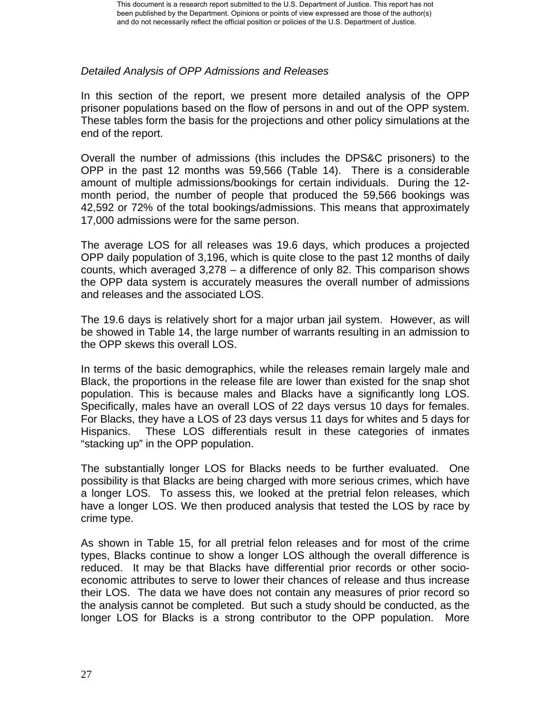## *Detailed Analysis of OPP Admissions and Releases*

In this section of the report, we present more detailed analysis of the OPP prisoner populations based on the flow of persons in and out of the OPP system. These tables form the basis for the projections and other policy simulations at the end of the report.

Overall the number of admissions (this includes the DPS&C prisoners) to the OPP in the past 12 months was 59,566 (Table 14). There is a considerable amount of multiple admissions/bookings for certain individuals. During the 12 month period, the number of people that produced the 59,566 bookings was 42,592 or 72% of the total bookings/admissions. This means that approximately 17,000 admissions were for the same person.

The average LOS for all releases was 19.6 days, which produces a projected OPP daily population of 3,196, which is quite close to the past 12 months of daily counts, which averaged 3,278 – a difference of only 82. This comparison shows the OPP data system is accurately measures the overall number of admissions and releases and the associated LOS.

The 19.6 days is relatively short for a major urban jail system. However, as will be showed in Table 14, the large number of warrants resulting in an admission to the OPP skews this overall LOS.

In terms of the basic demographics, while the releases remain largely male and Black, the proportions in the release file are lower than existed for the snap shot population. This is because males and Blacks have a significantly long LOS. Specifically, males have an overall LOS of 22 days versus 10 days for females. For Blacks, they have a LOS of 23 days versus 11 days for whites and 5 days for Hispanics. These LOS differentials result in these categories of inmates "stacking up" in the OPP population.

The substantially longer LOS for Blacks needs to be further evaluated. One possibility is that Blacks are being charged with more serious crimes, which have a longer LOS. To assess this, we looked at the pretrial felon releases, which have a longer LOS. We then produced analysis that tested the LOS by race by crime type.

As shown in Table 15, for all pretrial felon releases and for most of the crime types, Blacks continue to show a longer LOS although the overall difference is reduced. It may be that Blacks have differential prior records or other socioeconomic attributes to serve to lower their chances of release and thus increase their LOS. The data we have does not contain any measures of prior record so the analysis cannot be completed. But such a study should be conducted, as the longer LOS for Blacks is a strong contributor to the OPP population. More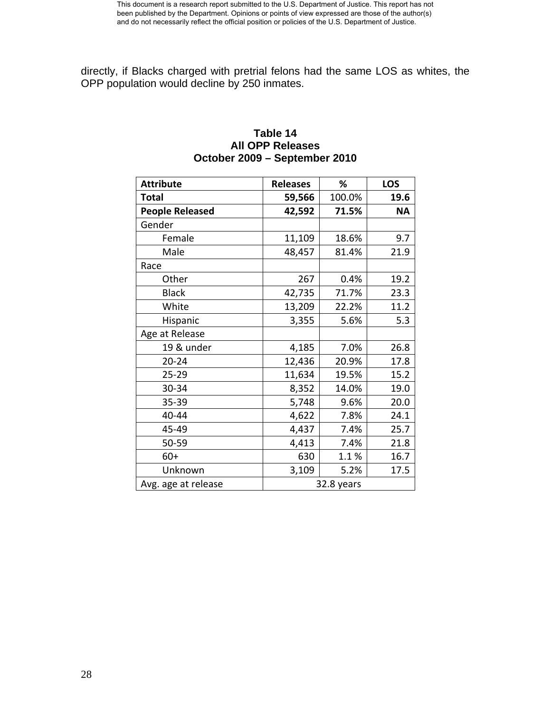directly, if Blacks charged with pretrial felons had the same LOS as whites, the OPP population would decline by 250 inmates.

## **Table 14 All OPP Releases October 2009 – September 2010**

| <b>Attribute</b>       | <b>Releases</b> | %          | <b>LOS</b> |
|------------------------|-----------------|------------|------------|
| Total                  | 59,566          | 100.0%     | 19.6       |
| <b>People Released</b> | 42,592          | 71.5%      | <b>NA</b>  |
| Gender                 |                 |            |            |
| Female                 | 11,109          | 18.6%      | 9.7        |
| Male                   | 48,457          | 81.4%      | 21.9       |
| Race                   |                 |            |            |
| Other                  | 267             | 0.4%       | 19.2       |
| <b>Black</b>           | 42,735          | 71.7%      | 23.3       |
| White                  | 13,209          | 22.2%      | 11.2       |
| Hispanic               | 3,355           | 5.6%       | 5.3        |
| Age at Release         |                 |            |            |
| 19 & under             | 4,185           | 7.0%       | 26.8       |
| $20 - 24$              | 12,436          | 20.9%      | 17.8       |
| $25 - 29$              | 11,634          | 19.5%      | 15.2       |
| 30-34                  | 8,352           | 14.0%      | 19.0       |
| 35-39                  | 5,748           | 9.6%       | 20.0       |
| 40-44                  | 4,622           | 7.8%       | 24.1       |
| 45-49                  | 4,437           | 7.4%       | 25.7       |
| 50-59                  | 4,413           | 7.4%       | 21.8       |
| $60+$                  | 630             | 1.1%       | 16.7       |
| Unknown                | 3,109           | 5.2%       | 17.5       |
| Avg. age at release    |                 | 32.8 years |            |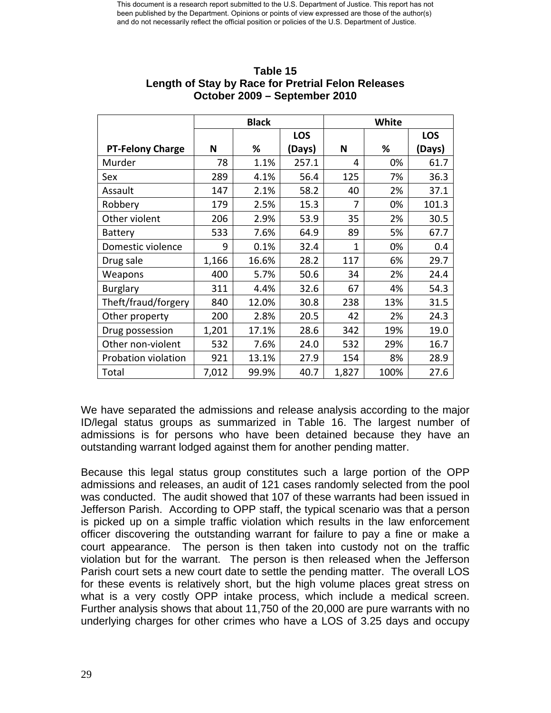|                         | <b>Black</b> |       |            | White |      |            |
|-------------------------|--------------|-------|------------|-------|------|------------|
|                         |              |       | <b>LOS</b> |       |      | <b>LOS</b> |
| <b>PT-Felony Charge</b> | N            | %     | (Days)     | N     | %    | (Days)     |
| Murder                  | 78           | 1.1%  | 257.1      | 4     | 0%   | 61.7       |
| Sex                     | 289          | 4.1%  | 56.4       | 125   | 7%   | 36.3       |
| Assault                 | 147          | 2.1%  | 58.2       | 40    | 2%   | 37.1       |
| Robbery                 | 179          | 2.5%  | 15.3       | 7     | 0%   | 101.3      |
| Other violent           | 206          | 2.9%  | 53.9       | 35    | 2%   | 30.5       |
| <b>Battery</b>          | 533          | 7.6%  | 64.9       | 89    | 5%   | 67.7       |
| Domestic violence       | 9            | 0.1%  | 32.4       | 1     | 0%   | 0.4        |
| Drug sale               | 1,166        | 16.6% | 28.2       | 117   | 6%   | 29.7       |
| Weapons                 | 400          | 5.7%  | 50.6       | 34    | 2%   | 24.4       |
| <b>Burglary</b>         | 311          | 4.4%  | 32.6       | 67    | 4%   | 54.3       |
| Theft/fraud/forgery     | 840          | 12.0% | 30.8       | 238   | 13%  | 31.5       |
| Other property          | 200          | 2.8%  | 20.5       | 42    | 2%   | 24.3       |
| Drug possession         | 1,201        | 17.1% | 28.6       | 342   | 19%  | 19.0       |
| Other non-violent       | 532          | 7.6%  | 24.0       | 532   | 29%  | 16.7       |
| Probation violation     | 921          | 13.1% | 27.9       | 154   | 8%   | 28.9       |
| Total                   | 7,012        | 99.9% | 40.7       | 1,827 | 100% | 27.6       |

## **Table 15 Length of Stay by Race for Pretrial Felon Releases October 2009 – September 2010**

We have separated the admissions and release analysis according to the major ID/legal status groups as summarized in Table 16. The largest number of admissions is for persons who have been detained because they have an outstanding warrant lodged against them for another pending matter.

Because this legal status group constitutes such a large portion of the OPP admissions and releases, an audit of 121 cases randomly selected from the pool was conducted. The audit showed that 107 of these warrants had been issued in Jefferson Parish. According to OPP staff, the typical scenario was that a person is picked up on a simple traffic violation which results in the law enforcement officer discovering the outstanding warrant for failure to pay a fine or make a court appearance. The person is then taken into custody not on the traffic violation but for the warrant. The person is then released when the Jefferson Parish court sets a new court date to settle the pending matter. The overall LOS for these events is relatively short, but the high volume places great stress on what is a very costly OPP intake process, which include a medical screen. Further analysis shows that about 11,750 of the 20,000 are pure warrants with no underlying charges for other crimes who have a LOS of 3.25 days and occupy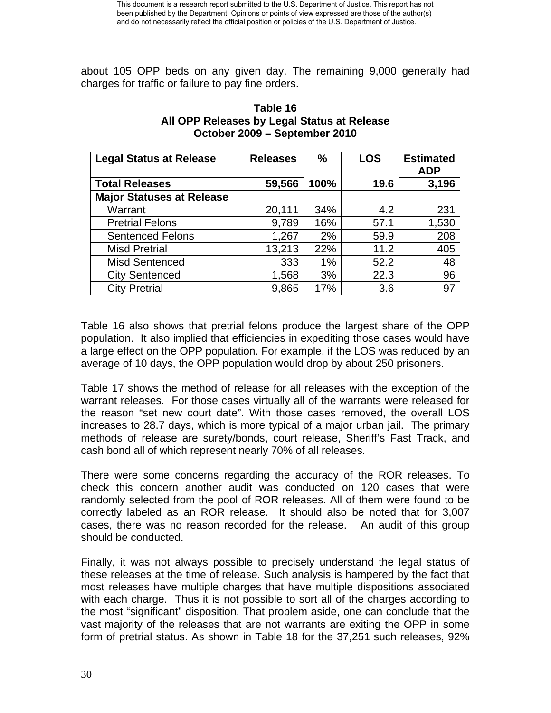about 105 OPP beds on any given day. The remaining 9,000 generally had charges for traffic or failure to pay fine orders.

| <b>Legal Status at Release</b>   | <b>Releases</b> | $\frac{0}{0}$ | <b>LOS</b> | <b>Estimated</b><br><b>ADP</b> |
|----------------------------------|-----------------|---------------|------------|--------------------------------|
| <b>Total Releases</b>            | 59,566          | 100%          | 19.6       | 3,196                          |
| <b>Major Statuses at Release</b> |                 |               |            |                                |
| Warrant                          | 20,111          | 34%           | 4.2        | 231                            |
| <b>Pretrial Felons</b>           | 9,789           | 16%           | 57.1       | 1,530                          |
| <b>Sentenced Felons</b>          | 1,267           | 2%            | 59.9       | 208                            |
| <b>Misd Pretrial</b>             | 13,213          | 22%           | 11.2       | 405                            |
| <b>Misd Sentenced</b>            | 333             | 1%            | 52.2       | 48                             |
| <b>City Sentenced</b>            | 1,568           | 3%            | 22.3       | 96                             |
| <b>City Pretrial</b>             | 9,865           | 17%           | 3.6        | 97                             |

## **Table 16 All OPP Releases by Legal Status at Release October 2009 – September 2010**

Table 16 also shows that pretrial felons produce the largest share of the OPP population. It also implied that efficiencies in expediting those cases would have a large effect on the OPP population. For example, if the LOS was reduced by an average of 10 days, the OPP population would drop by about 250 prisoners.

Table 17 shows the method of release for all releases with the exception of the warrant releases. For those cases virtually all of the warrants were released for the reason "set new court date". With those cases removed, the overall LOS increases to 28.7 days, which is more typical of a major urban jail. The primary methods of release are surety/bonds, court release, Sheriff's Fast Track, and cash bond all of which represent nearly 70% of all releases.

There were some concerns regarding the accuracy of the ROR releases. To check this concern another audit was conducted on 120 cases that were randomly selected from the pool of ROR releases. All of them were found to be correctly labeled as an ROR release. It should also be noted that for 3,007 cases, there was no reason recorded for the release. An audit of this group should be conducted.

Finally, it was not always possible to precisely understand the legal status of these releases at the time of release. Such analysis is hampered by the fact that most releases have multiple charges that have multiple dispositions associated with each charge. Thus it is not possible to sort all of the charges according to the most "significant" disposition. That problem aside, one can conclude that the vast majority of the releases that are not warrants are exiting the OPP in some form of pretrial status. As shown in Table 18 for the 37,251 such releases, 92%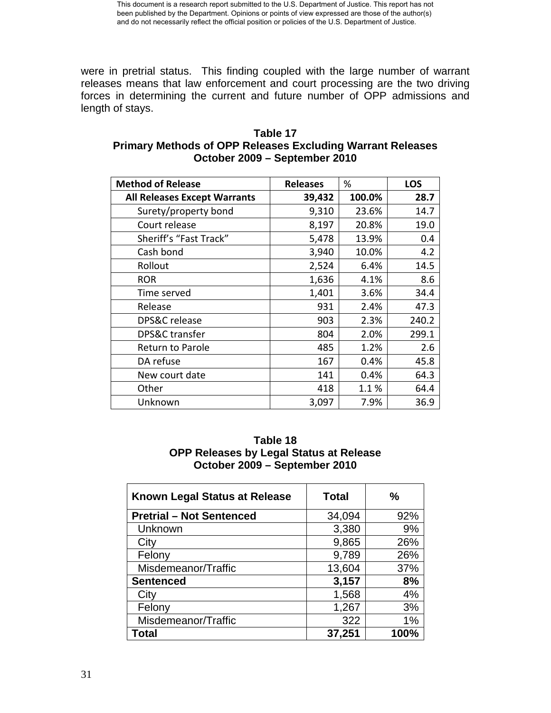were in pretrial status. This finding coupled with the large number of warrant releases means that law enforcement and court processing are the two driving forces in determining the current and future number of OPP admissions and length of stays.

| <b>Method of Release</b>            | <b>Releases</b> | %      | <b>LOS</b> |
|-------------------------------------|-----------------|--------|------------|
| <b>All Releases Except Warrants</b> | 39,432          | 100.0% | 28.7       |
| Surety/property bond                | 9,310           | 23.6%  | 14.7       |
| Court release                       | 8,197           | 20.8%  | 19.0       |
| Sheriff's "Fast Track"              | 5,478           | 13.9%  | 0.4        |
| Cash bond                           | 3,940           | 10.0%  | 4.2        |
| Rollout                             | 2,524           | 6.4%   | 14.5       |
| <b>ROR</b>                          | 1,636           | 4.1%   | 8.6        |
| Time served                         | 1,401           | 3.6%   | 34.4       |
| Release                             | 931             | 2.4%   | 47.3       |
| DPS&C release                       | 903             | 2.3%   | 240.2      |
| DPS&C transfer                      | 804             | 2.0%   | 299.1      |
| <b>Return to Parole</b>             | 485             | 1.2%   | 2.6        |
| DA refuse                           | 167             | 0.4%   | 45.8       |
| New court date                      | 141             | 0.4%   | 64.3       |
| Other                               | 418             | 1.1%   | 64.4       |
| Unknown                             | 3,097           | 7.9%   | 36.9       |

## **Table 17 Primary Methods of OPP Releases Excluding Warrant Releases October 2009 – September 2010**

### **Table 18 OPP Releases by Legal Status at Release October 2009 – September 2010**

| Known Legal Status at Release   | <b>Total</b> | %    |
|---------------------------------|--------------|------|
| <b>Pretrial - Not Sentenced</b> | 34,094       | 92%  |
| Unknown                         | 3,380        | 9%   |
| City                            | 9,865        | 26%  |
| Felony                          | 9,789        | 26%  |
| Misdemeanor/Traffic             | 13,604       | 37%  |
| <b>Sentenced</b>                | 3,157        | 8%   |
| City                            | 1,568        | 4%   |
| Felony                          | 1,267        | 3%   |
| Misdemeanor/Traffic             | 322          | 1%   |
| <b>Total</b>                    | 37,251       | 100% |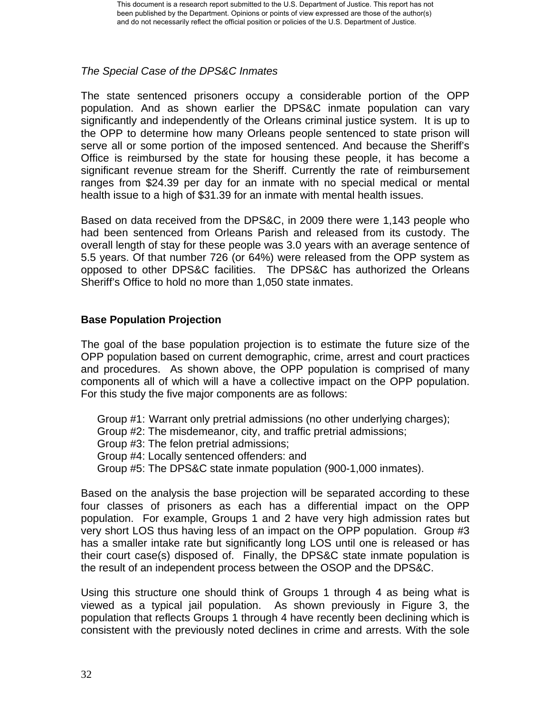## *The Special Case of the DPS&C Inmates*

The state sentenced prisoners occupy a considerable portion of the OPP population. And as shown earlier the DPS&C inmate population can vary significantly and independently of the Orleans criminal justice system. It is up to the OPP to determine how many Orleans people sentenced to state prison will serve all or some portion of the imposed sentenced. And because the Sheriff's Office is reimbursed by the state for housing these people, it has become a significant revenue stream for the Sheriff. Currently the rate of reimbursement ranges from \$24.39 per day for an inmate with no special medical or mental health issue to a high of \$31.39 for an inmate with mental health issues.

Based on data received from the DPS&C, in 2009 there were 1,143 people who had been sentenced from Orleans Parish and released from its custody. The overall length of stay for these people was 3.0 years with an average sentence of 5.5 years. Of that number 726 (or 64%) were released from the OPP system as opposed to other DPS&C facilities. The DPS&C has authorized the Orleans Sheriff's Office to hold no more than 1,050 state inmates.

## **Base Population Projection**

The goal of the base population projection is to estimate the future size of the OPP population based on current demographic, crime, arrest and court practices and procedures. As shown above, the OPP population is comprised of many components all of which will a have a collective impact on the OPP population. For this study the five major components are as follows:

- Group #1: Warrant only pretrial admissions (no other underlying charges);
- Group #2: The misdemeanor, city, and traffic pretrial admissions;
- Group #3: The felon pretrial admissions;
- Group #4: Locally sentenced offenders: and
- Group #5: The DPS&C state inmate population (900-1,000 inmates).

Based on the analysis the base projection will be separated according to these four classes of prisoners as each has a differential impact on the OPP population. For example, Groups 1 and 2 have very high admission rates but very short LOS thus having less of an impact on the OPP population. Group #3 has a smaller intake rate but significantly long LOS until one is released or has their court case(s) disposed of. Finally, the DPS&C state inmate population is the result of an independent process between the OSOP and the DPS&C.

Using this structure one should think of Groups 1 through 4 as being what is viewed as a typical jail population. As shown previously in Figure 3, the population that reflects Groups 1 through 4 have recently been declining which is consistent with the previously noted declines in crime and arrests. With the sole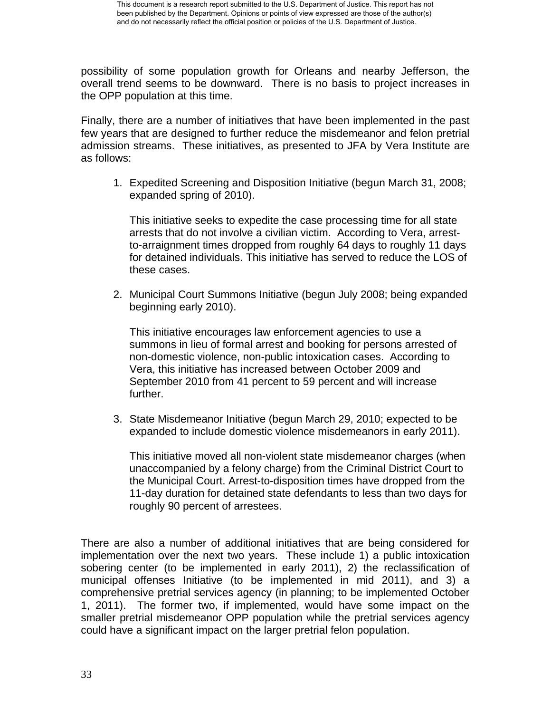possibility of some population growth for Orleans and nearby Jefferson, the overall trend seems to be downward. There is no basis to project increases in the OPP population at this time.

Finally, there are a number of initiatives that have been implemented in the past few years that are designed to further reduce the misdemeanor and felon pretrial admission streams. These initiatives, as presented to JFA by Vera Institute are as follows:

1. Expedited Screening and Disposition Initiative (begun March 31, 2008; expanded spring of 2010).

This initiative seeks to expedite the case processing time for all state arrests that do not involve a civilian victim. According to Vera, arrestto-arraignment times dropped from roughly 64 days to roughly 11 days for detained individuals. This initiative has served to reduce the LOS of these cases.

2. Municipal Court Summons Initiative (begun July 2008; being expanded beginning early 2010).

This initiative encourages law enforcement agencies to use a summons in lieu of formal arrest and booking for persons arrested of non-domestic violence, non-public intoxication cases. According to Vera, this initiative has increased between October 2009 and September 2010 from 41 percent to 59 percent and will increase further.

3. State Misdemeanor Initiative (begun March 29, 2010; expected to be expanded to include domestic violence misdemeanors in early 2011).

This initiative moved all non-violent state misdemeanor charges (when unaccompanied by a felony charge) from the Criminal District Court to the Municipal Court. Arrest-to-disposition times have dropped from the 11-day duration for detained state defendants to less than two days for roughly 90 percent of arrestees.

There are also a number of additional initiatives that are being considered for implementation over the next two years. These include 1) a public intoxication sobering center (to be implemented in early 2011), 2) the reclassification of municipal offenses Initiative (to be implemented in mid 2011), and 3) a comprehensive pretrial services agency (in planning; to be implemented October 1, 2011). The former two, if implemented, would have some impact on the smaller pretrial misdemeanor OPP population while the pretrial services agency could have a significant impact on the larger pretrial felon population.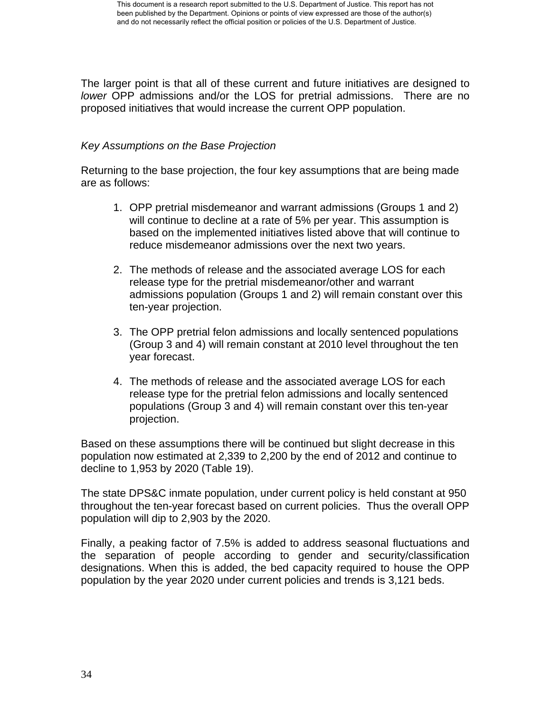The larger point is that all of these current and future initiatives are designed to *lower* OPP admissions and/or the LOS for pretrial admissions. There are no proposed initiatives that would increase the current OPP population.

## *Key Assumptions on the Base Projection*

Returning to the base projection, the four key assumptions that are being made are as follows:

- 1. OPP pretrial misdemeanor and warrant admissions (Groups 1 and 2) will continue to decline at a rate of 5% per year. This assumption is based on the implemented initiatives listed above that will continue to reduce misdemeanor admissions over the next two years.
- 2. The methods of release and the associated average LOS for each release type for the pretrial misdemeanor/other and warrant admissions population (Groups 1 and 2) will remain constant over this ten-year projection.
- 3. The OPP pretrial felon admissions and locally sentenced populations (Group 3 and 4) will remain constant at 2010 level throughout the ten year forecast.
- 4. The methods of release and the associated average LOS for each release type for the pretrial felon admissions and locally sentenced populations (Group 3 and 4) will remain constant over this ten-year projection.

Based on these assumptions there will be continued but slight decrease in this population now estimated at 2,339 to 2,200 by the end of 2012 and continue to decline to 1,953 by 2020 (Table 19).

The state DPS&C inmate population, under current policy is held constant at 950 throughout the ten-year forecast based on current policies. Thus the overall OPP population will dip to 2,903 by the 2020.

Finally, a peaking factor of 7.5% is added to address seasonal fluctuations and the separation of people according to gender and security/classification designations. When this is added, the bed capacity required to house the OPP population by the year 2020 under current policies and trends is 3,121 beds.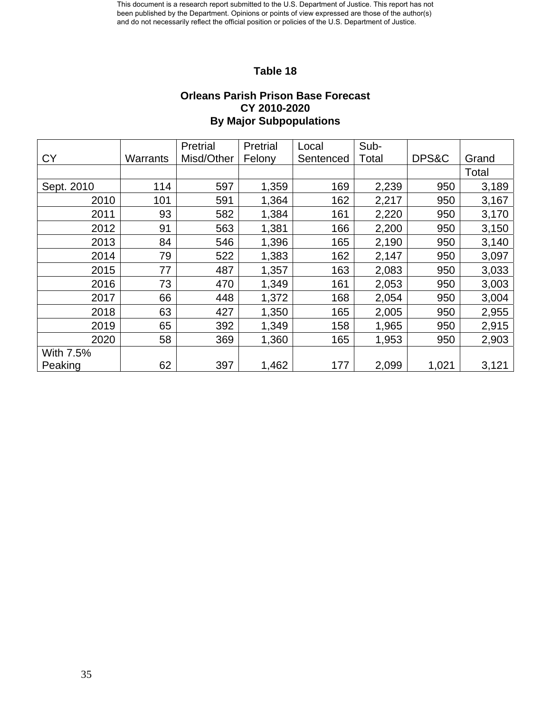## **Table 18**

#### **Orleans Parish Prison Base Forecast CY 2010-2020 By Major Subpopulations**

|            |          | Pretrial   | Pretrial | Local     | Sub-  |       |       |
|------------|----------|------------|----------|-----------|-------|-------|-------|
| <b>CY</b>  | Warrants | Misd/Other | Felony   | Sentenced | Total | DPS&C | Grand |
|            |          |            |          |           |       |       | Total |
| Sept. 2010 | 114      | 597        | 1,359    | 169       | 2,239 | 950   | 3,189 |
| 2010       | 101      | 591        | 1,364    | 162       | 2,217 | 950   | 3,167 |
| 2011       | 93       | 582        | 1,384    | 161       | 2,220 | 950   | 3,170 |
| 2012       | 91       | 563        | 1,381    | 166       | 2,200 | 950   | 3,150 |
| 2013       | 84       | 546        | 1,396    | 165       | 2,190 | 950   | 3,140 |
| 2014       | 79       | 522        | 1,383    | 162       | 2,147 | 950   | 3,097 |
| 2015       | 77       | 487        | 1,357    | 163       | 2,083 | 950   | 3,033 |
| 2016       | 73       | 470        | 1,349    | 161       | 2,053 | 950   | 3,003 |
| 2017       | 66       | 448        | 1,372    | 168       | 2,054 | 950   | 3,004 |
| 2018       | 63       | 427        | 1,350    | 165       | 2,005 | 950   | 2,955 |
| 2019       | 65       | 392        | 1,349    | 158       | 1,965 | 950   | 2,915 |
| 2020       | 58       | 369        | 1,360    | 165       | 1,953 | 950   | 2,903 |
| With 7.5%  |          |            |          |           |       |       |       |
| Peaking    | 62       | 397        | 1,462    | 177       | 2,099 | 1,021 | 3,121 |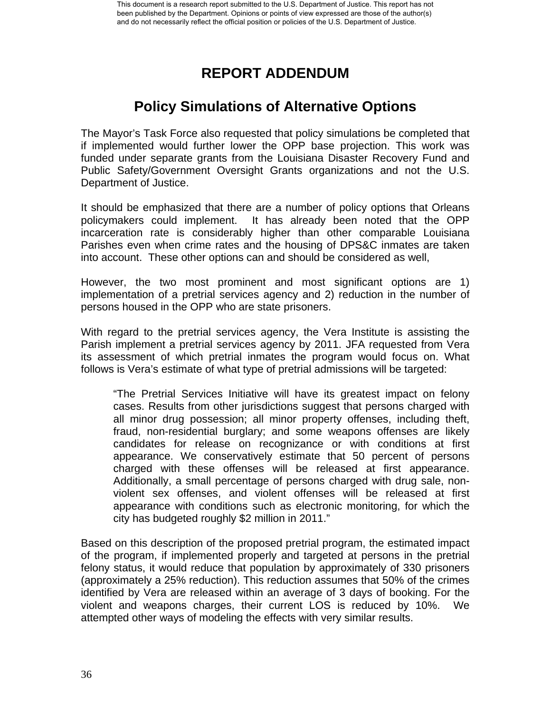## **REPORT ADDENDUM**

## **Policy Simulations of Alternative Options**

The Mayor's Task Force also requested that policy simulations be completed that if implemented would further lower the OPP base projection. This work was funded under separate grants from the Louisiana Disaster Recovery Fund and Public Safety/Government Oversight Grants organizations and not the U.S. Department of Justice.

It should be emphasized that there are a number of policy options that Orleans policymakers could implement. It has already been noted that the OPP incarceration rate is considerably higher than other comparable Louisiana Parishes even when crime rates and the housing of DPS&C inmates are taken into account. These other options can and should be considered as well,

However, the two most prominent and most significant options are 1) implementation of a pretrial services agency and 2) reduction in the number of persons housed in the OPP who are state prisoners.

With regard to the pretrial services agency, the Vera Institute is assisting the Parish implement a pretrial services agency by 2011. JFA requested from Vera its assessment of which pretrial inmates the program would focus on. What follows is Vera's estimate of what type of pretrial admissions will be targeted:

"The Pretrial Services Initiative will have its greatest impact on felony cases. Results from other jurisdictions suggest that persons charged with all minor drug possession; all minor property offenses, including theft, fraud, non-residential burglary; and some weapons offenses are likely candidates for release on recognizance or with conditions at first appearance. We conservatively estimate that 50 percent of persons charged with these offenses will be released at first appearance. Additionally, a small percentage of persons charged with drug sale, nonviolent sex offenses, and violent offenses will be released at first appearance with conditions such as electronic monitoring, for which the city has budgeted roughly \$2 million in 2011."

Based on this description of the proposed pretrial program, the estimated impact of the program, if implemented properly and targeted at persons in the pretrial felony status, it would reduce that population by approximately of 330 prisoners (approximately a 25% reduction). This reduction assumes that 50% of the crimes identified by Vera are released within an average of 3 days of booking. For the violent and weapons charges, their current LOS is reduced by 10%. We attempted other ways of modeling the effects with very similar results.